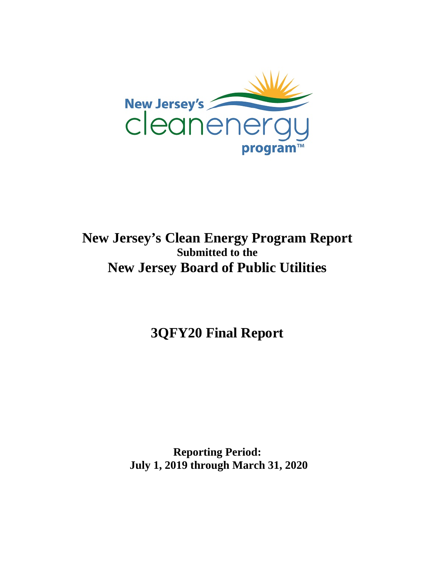

# **New Jersey's Clean Energy Program Report Submitted to the New Jersey Board of Public Utilities**

**3QFY20 Final Report**

**Reporting Period: July 1, 2019 through March 31, 2020**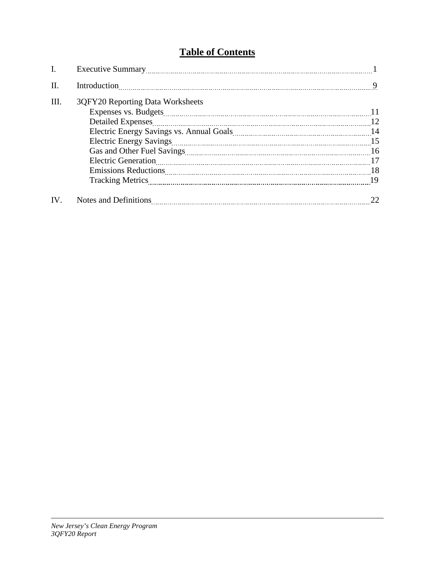## **Table of Contents**

| I.   |                                  |               |
|------|----------------------------------|---------------|
| II.  | Introduction                     | 9             |
| III. | 3QFY20 Reporting Data Worksheets | <sup>11</sup> |
|      | <b>Detailed Expenses</b>         | -12           |
|      |                                  |               |
|      |                                  |               |
|      |                                  |               |
|      |                                  |               |
|      |                                  |               |
|      |                                  |               |
| IV.  |                                  |               |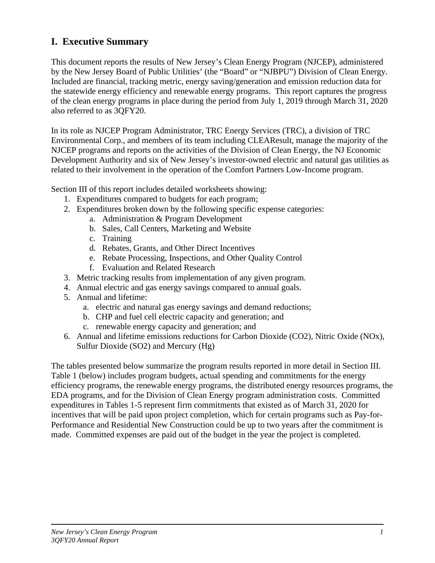## **I. Executive Summary**

This document reports the results of New Jersey's Clean Energy Program (NJCEP), administered by the New Jersey Board of Public Utilities' (the "Board" or "NJBPU") Division of Clean Energy. Included are financial, tracking metric, energy saving/generation and emission reduction data for the statewide energy efficiency and renewable energy programs. This report captures the progress of the clean energy programs in place during the period from July 1, 2019 through March 31, 2020 also referred to as 3QFY20.

In its role as NJCEP Program Administrator, TRC Energy Services (TRC), a division of TRC Environmental Corp., and members of its team including CLEAResult, manage the majority of the NJCEP programs and reports on the activities of the Division of Clean Energy, the NJ Economic Development Authority and six of New Jersey's investor-owned electric and natural gas utilities as related to their involvement in the operation of the Comfort Partners Low-Income program.

Section III of this report includes detailed worksheets showing:

- 1. Expenditures compared to budgets for each program;
- 2. Expenditures broken down by the following specific expense categories:
	- a. Administration & Program Development
	- b. Sales, Call Centers, Marketing and Website
	- c. Training
	- d. Rebates, Grants, and Other Direct Incentives
	- e. Rebate Processing, Inspections, and Other Quality Control
	- f. Evaluation and Related Research
- 3. Metric tracking results from implementation of any given program.
- 4. Annual electric and gas energy savings compared to annual goals.
- 5. Annual and lifetime:
	- a. electric and natural gas energy savings and demand reductions;
	- b. CHP and fuel cell electric capacity and generation; and
	- c. renewable energy capacity and generation; and
- 6. Annual and lifetime emissions reductions for Carbon Dioxide (CO2), Nitric Oxide (NOx), Sulfur Dioxide (SO2) and Mercury (Hg)

The tables presented below summarize the program results reported in more detail in Section III. Table 1 (below) includes program budgets, actual spending and commitments for the energy efficiency programs, the renewable energy programs, the distributed energy resources programs, the EDA programs, and for the Division of Clean Energy program administration costs. Committed expenditures in Tables 1-5 represent firm commitments that existed as of March 31, 2020 for incentives that will be paid upon project completion, which for certain programs such as Pay-for-Performance and Residential New Construction could be up to two years after the commitment is made. Committed expenses are paid out of the budget in the year the project is completed.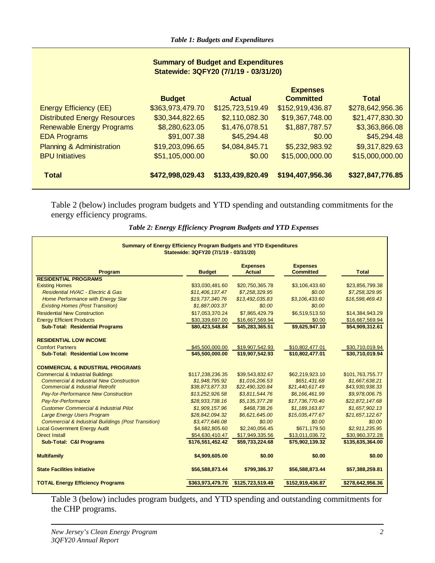| <b>Summary of Budget and Expenditures</b><br>Statewide: 3QFY20 (7/1/19 - 03/31/20) |                  |                  |                                     |                  |  |
|------------------------------------------------------------------------------------|------------------|------------------|-------------------------------------|------------------|--|
|                                                                                    | <b>Budget</b>    | <b>Actual</b>    | <b>Expenses</b><br><b>Committed</b> | <b>Total</b>     |  |
| <b>Energy Efficiency (EE)</b>                                                      | \$363,973,479.70 | \$125,723,519.49 | \$152,919,436.87                    | \$278,642,956.36 |  |
| <b>Distributed Energy Resources</b>                                                | \$30,344,822.65  | \$2,110,082.30   | \$19,367,748.00                     | \$21,477,830.30  |  |
| <b>Renewable Energy Programs</b>                                                   | \$8,280,623.05   | \$1,476,078.51   | \$1,887,787.57                      | \$3,363,866.08   |  |
| <b>EDA Programs</b>                                                                | \$91,007.38      | \$45,294.48      | \$0.00                              | \$45,294.48      |  |
| <b>Planning &amp; Administration</b>                                               | \$19,203,096.65  | \$4,084,845.71   | \$5,232,983.92                      | \$9,317,829.63   |  |
| <b>BPU Initiatives</b>                                                             | \$51,105,000.00  | \$0.00           | \$15,000,000.00                     | \$15,000,000.00  |  |
| <b>Total</b>                                                                       | \$472,998,029.43 | \$133,439,820.49 | \$194,407,956.36                    | \$327,847,776.85 |  |

Table 2 (below) includes program budgets and YTD spending and outstanding commitments for the energy efficiency programs.

| Summary of Energy Efficiency Program Budgets and YTD Expenditures<br>Statewide: 3QFY20 (7/1/19 - 03/31/20) |                  |                                  |                                     |                  |
|------------------------------------------------------------------------------------------------------------|------------------|----------------------------------|-------------------------------------|------------------|
| Program                                                                                                    | <b>Budget</b>    | <b>Expenses</b><br><b>Actual</b> | <b>Expenses</b><br><b>Committed</b> | <b>Total</b>     |
| <b>RESIDENTIAL PROGRAMS</b>                                                                                |                  |                                  |                                     |                  |
| <b>Existing Homes</b>                                                                                      | \$33,030,481.60  | \$20,750,365.78                  | \$3,106,433.60                      | \$23,856,799.38  |
| Residential HVAC - Electric & Gas                                                                          | \$11,406,137.47  | \$7,258,329.95                   | \$0.00                              | \$7,258,329.95   |
| Home Performance with Energy Star                                                                          | \$19,737,340.76  | \$13,492,035.83                  | \$3,106,433.60                      | \$16,598,469.43  |
| <b>Existing Homes (Post Transition)</b>                                                                    | \$1,887,003.37   | \$0.00                           | \$0.00                              |                  |
| <b>Residential New Construction</b>                                                                        | \$17,053,370.24  | \$7,865,429.79                   | \$6,519,513.50                      | \$14,384,943.29  |
| <b>Energy Efficient Products</b>                                                                           | \$30,339,697.00  | \$16,667,569.94                  | \$0.00                              | \$16,667,569.94  |
| <b>Sub-Total: Residential Programs</b>                                                                     | \$80,423,548.84  | \$45,283,365.51                  | \$9,625,947.10                      | \$54,909,312.61  |
| <b>RESIDENTIAL LOW INCOME</b>                                                                              |                  |                                  |                                     |                  |
| <b>Comfort Partners</b>                                                                                    | \$45,500,000.00  | \$19,907,542.93                  | \$10,802,477.01                     | \$30,710,019.94  |
| <b>Sub-Total: Residential Low Income</b>                                                                   | \$45,500,000.00  | \$19,907,542.93                  | \$10,802,477.01                     | \$30,710,019.94  |
| <b>COMMERCIAL &amp; INDUSTRIAL PROGRAMS</b>                                                                |                  |                                  |                                     |                  |
| <b>Commercial &amp; Industrial Buildings</b>                                                               | \$117,238,236.35 | \$39,543,832.67                  | \$62,219,923.10                     | \$101,763,755.77 |
| <b>Commercial &amp; Industrial New Construction</b>                                                        | \$1,948,795.92   | \$1,016,206.53                   | \$651,431.68                        | \$1,667,638.21   |
| <b>Commercial &amp; Industrial Retrofit</b>                                                                | \$38,873,877.33  | \$22,490,320.84                  | \$21,440,617.49                     | \$43,930,938.33  |
| Pay-for-Performance New Construction                                                                       | \$13,252,926.58  | \$3,811,544.76                   | \$6,166,461.99                      | \$9,978,006.75   |
| Pay-for-Performance                                                                                        | \$28,933,738.16  | \$5,135,377.28                   | \$17,736,770.40                     | \$22,872,147.68  |
| <b>Customer Commercial &amp; Industrial Pilot</b>                                                          | \$1,909,157.96   | \$468,738.26                     | \$1,189,163.87                      | \$1,657,902.13   |
| <b>Large Energy Users Program</b>                                                                          | \$28,842,094.32  | \$6,621,645.00                   | \$15,035,477.67                     | \$21,657,122.67  |
| <b>Commercial &amp; Industrial Buildings (Post Transition)</b>                                             | \$3,477,646.08   | \$0.00                           | \$0.00                              | \$0.00           |
| <b>Local Government Energy Audit</b>                                                                       | \$4,682,805.60   | \$2,240,056.45                   | \$671,179.50                        | \$2,911,235.95   |
| <b>Direct Install</b>                                                                                      | \$54,630,410.47  | \$17,949,335.56                  | \$13,011,036.72                     | \$30,960,372.28  |
| <b>Sub-Total: C&amp;I Programs</b>                                                                         | \$176,551,452.42 | \$59.733.224.68                  | \$75,902,139.32                     | \$135,635,364.00 |
| <b>Multifamily</b>                                                                                         | \$4,909,605.00   | \$0.00                           | \$0.00                              | \$0.00           |
| <b>State Facilities Initiative</b>                                                                         | \$56,588,873.44  | \$799,386.37                     | \$56,588,873.44                     | \$57,388,259.81  |
| <b>TOTAL Energy Efficiency Programs</b>                                                                    | \$363,973,479.70 | \$125,723,519.49                 | \$152,919,436.87                    | \$278,642,956.36 |

*Table 2: Energy Efficiency Program Budgets and YTD Expenses*

Table 3 (below) includes program budgets, and YTD spending and outstanding commitments for the CHP programs.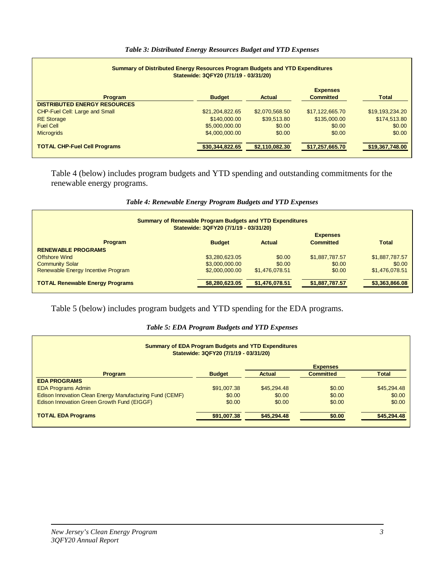#### *Table 3: Distributed Energy Resources Budget and YTD Expenses*

| <b>Summary of Distributed Energy Resources Program Budgets and YTD Expenditures</b><br>Statewide: 3QFY20 (7/1/19 - 03/31/20) |                 |                |                                     |                 |  |
|------------------------------------------------------------------------------------------------------------------------------|-----------------|----------------|-------------------------------------|-----------------|--|
| <b>Program</b>                                                                                                               | <b>Budget</b>   | <b>Actual</b>  | <b>Expenses</b><br><b>Committed</b> | <b>Total</b>    |  |
| <b>DISTRIBUTED ENERGY RESOURCES</b><br><b>CHP-Fuel Cell: Large and Small</b>                                                 | \$21.204.822.65 | \$2,070,568.50 | \$17,122,665,70                     | \$19,193,234.20 |  |
| <b>RE</b> Storage                                                                                                            | \$140,000,00    | \$39,513.80    | \$135,000,00                        | \$174,513.80    |  |
| <b>Fuel Cell</b>                                                                                                             | \$5,000,000.00  | \$0.00         | \$0.00                              | \$0.00          |  |
| <b>Microgrids</b>                                                                                                            | \$4,000,000,00  | \$0.00         | \$0.00                              | \$0.00          |  |
| <b>TOTAL CHP-Fuel Cell Programs</b>                                                                                          | \$30,344,822.65 | \$2,110,082.30 | \$17,257,665.70                     | \$19,367,748.00 |  |

Table 4 (below) includes program budgets and YTD spending and outstanding commitments for the renewable energy programs.

| <b>Summary of Renewable Program Budgets and YTD Expenditures</b><br>Statewide: 3QFY20 (7/1/19 - 03/31/20) |                |                |                  |                |  |
|-----------------------------------------------------------------------------------------------------------|----------------|----------------|------------------|----------------|--|
|                                                                                                           |                |                | <b>Expenses</b>  |                |  |
| <b>Program</b>                                                                                            | <b>Budget</b>  | Actual         | <b>Committed</b> | <b>Total</b>   |  |
| <b>RENEWABLE PROGRAMS</b>                                                                                 |                |                |                  |                |  |
| <b>Offshore Wind</b>                                                                                      | \$3,280,623.05 | \$0.00         | \$1,887,787.57   | \$1,887,787.57 |  |
| <b>Community Solar</b>                                                                                    | \$3,000,000.00 | \$0.00         | \$0.00           | \$0.00         |  |
| Renewable Energy Incentive Program                                                                        | \$2,000,000.00 | \$1,476,078.51 | \$0.00           | \$1,476,078.51 |  |
| <b>TOTAL Renewable Energy Programs</b>                                                                    | \$8,280,623.05 | \$1,476,078.51 | \$1,887,787.57   | \$3,363,866.08 |  |

#### *Table 4: Renewable Energy Program Budgets and YTD Expenses*

Table 5 (below) includes program budgets and YTD spending for the EDA programs.

#### *Table 5: EDA Program Budgets and YTD Expenses*

| <b>Summary of EDA Program Budgets and YTD Expenditures</b><br>Statewide: 3QFY20 (7/1/19 - 03/31/20) |               |               |                  |              |  |
|-----------------------------------------------------------------------------------------------------|---------------|---------------|------------------|--------------|--|
|                                                                                                     |               |               | <b>Expenses</b>  |              |  |
| <b>Program</b>                                                                                      | <b>Budget</b> | <b>Actual</b> | <b>Committed</b> | <b>Total</b> |  |
| <b>EDA PROGRAMS</b>                                                                                 |               |               |                  |              |  |
| <b>EDA Programs Admin</b>                                                                           | \$91,007.38   | \$45,294.48   | \$0.00           | \$45,294.48  |  |
| Edison Innovation Clean Energy Manufacturing Fund (CEMF)                                            | \$0.00        | \$0.00        | \$0.00           | \$0.00       |  |
| Edison Innovation Green Growth Fund (EIGGF)                                                         | \$0.00        | \$0.00        | \$0.00           | \$0.00       |  |
| <b>TOTAL EDA Programs</b>                                                                           | \$91,007.38   | \$45,294.48   | \$0.00           | \$45,294.48  |  |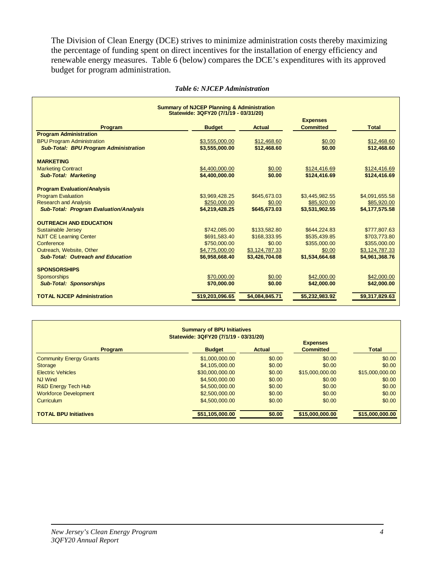The Division of Clean Energy (DCE) strives to minimize administration costs thereby maximizing the percentage of funding spent on direct incentives for the installation of energy efficiency and renewable energy measures. Table 6 (below) compares the DCE's expenditures with its approved budget for program administration.

|                                               | <b>Summary of NJCEP Planning &amp; Administration</b><br>Statewide: 3QFY20 (7/1/19 - 03/31/20) |                |                  |                |
|-----------------------------------------------|------------------------------------------------------------------------------------------------|----------------|------------------|----------------|
|                                               |                                                                                                |                | <b>Expenses</b>  |                |
| <b>Program</b>                                | <b>Budget</b>                                                                                  | <b>Actual</b>  | <b>Committed</b> | <b>Total</b>   |
| <b>Program Administration</b>                 |                                                                                                |                |                  |                |
| <b>BPU Program Administration</b>             | \$3,555,000,00                                                                                 | \$12,468.60    | \$0.00           | \$12,468.60    |
| <b>Sub-Total: BPU Program Administration</b>  | \$3,555,000.00                                                                                 | \$12,468.60    | \$0.00           | \$12,468.60    |
| <b>MARKETING</b>                              |                                                                                                |                |                  |                |
| <b>Marketing Contract</b>                     | \$4,400,000.00                                                                                 | \$0.00         | \$124,416.69     | \$124,416.69   |
| <b>Sub-Total: Marketing</b>                   | \$4,400,000.00                                                                                 | \$0.00         | \$124,416.69     | \$124,416.69   |
| <b>Program Evaluation/Analysis</b>            |                                                                                                |                |                  |                |
| <b>Program Evaluation</b>                     | \$3,969,428.25                                                                                 | \$645,673.03   | \$3,445,982.55   | \$4,091,655.58 |
| <b>Research and Analysis</b>                  | \$250,000.00                                                                                   | \$0.00         | \$85,920.00      | \$85,920.00    |
| <b>Sub-Total: Program Evaluation/Analysis</b> | \$4,219,428.25                                                                                 | \$645,673.03   | \$3,531,902.55   | \$4,177,575,58 |
| <b>OUTREACH AND EDUCATION</b>                 |                                                                                                |                |                  |                |
| Sustainable Jersey                            | \$742,085,00                                                                                   | \$133.582.80   | \$644.224.83     | \$777,807.63   |
| <b>NJIT CE Learning Center</b>                | \$691,583.40                                                                                   | \$168,333,95   | \$535,439.85     | \$703,773.80   |
| Conference                                    | \$750,000.00                                                                                   | \$0.00         | \$355,000.00     | \$355,000.00   |
| Outreach, Website, Other                      | \$4,775,000.00                                                                                 | \$3,124,787.33 | \$0.00           | \$3,124,787.33 |
| <b>Sub-Total: Outreach and Education</b>      | \$6,958,668.40                                                                                 | \$3,426,704.08 | \$1,534,664.68   | \$4,961,368.76 |
| <b>SPONSORSHIPS</b>                           |                                                                                                |                |                  |                |
| <b>Sponsorships</b>                           | \$70,000.00                                                                                    | \$0.00         | \$42,000.00      | \$42,000.00    |
| <b>Sub-Total: Sponsorships</b>                | \$70,000.00                                                                                    | \$0.00         | \$42,000.00      | \$42,000.00    |
| <b>TOTAL NJCEP Administration</b>             | \$19,203,096.65                                                                                | \$4,084,845.71 | \$5,232,983.92   | \$9,317,829.63 |

#### *Table 6: NJCEP Administration*

| <b>Summary of BPU Initiatives</b><br>Statewide: 3QFY20 (7/1/19 - 03/31/20)                              |                 |        |                 |                 |  |
|---------------------------------------------------------------------------------------------------------|-----------------|--------|-----------------|-----------------|--|
| <b>Expenses</b><br><b>Committed</b><br><b>Total</b><br><b>Budget</b><br><b>Actual</b><br><b>Program</b> |                 |        |                 |                 |  |
| <b>Community Energy Grants</b>                                                                          | \$1,000,000.00  | \$0.00 | \$0.00          | \$0.00          |  |
| <b>Storage</b>                                                                                          | \$4,105,000.00  | \$0.00 | \$0.00          | \$0.00          |  |
| <b>Electric Vehicles</b>                                                                                | \$30,000,000.00 | \$0.00 | \$15,000,000.00 | \$15,000,000.00 |  |
| <b>NJ Wind</b>                                                                                          | \$4,500,000.00  | \$0.00 | \$0.00          | \$0.00          |  |
| R&D Energy Tech Hub                                                                                     | \$4,500,000,00  | \$0.00 | \$0.00          | \$0.00          |  |
| <b>Workforce Development</b>                                                                            | \$2,500,000,00  | \$0.00 | \$0.00          | \$0.00          |  |
| <b>Curriculum</b>                                                                                       | \$4,500,000.00  | \$0.00 | \$0.00          | \$0.00          |  |
| <b>TOTAL BPU Initiatives</b>                                                                            | \$51,105,000.00 | \$0.00 | \$15,000,000.00 | \$15,000,000.00 |  |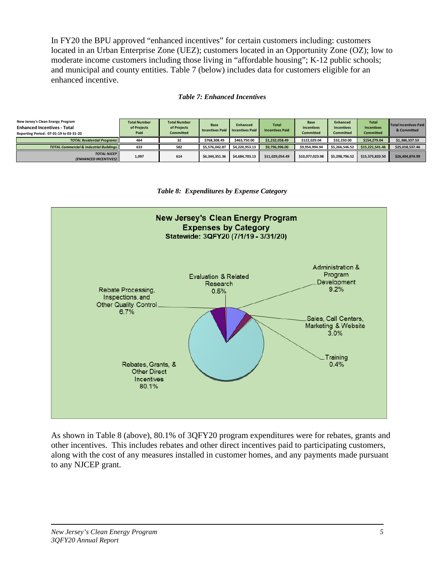In FY20 the BPU approved "enhanced incentives" for certain customers including: customers located in an Urban Enterprise Zone (UEZ); customers located in an Opportunity Zone (OZ); low to moderate income customers including those living in "affordable housing"; K-12 public schools; and municipal and county entities. Table 7 (below) includes data for customers eligible for an enhanced incentive.

#### *Table 7: Enhanced Incentives*

| New Jersey's Clean Energy Program<br><b>Enhanced Incentives - Total</b><br>Reporting Period: 07-01-19 to 03-31-20 | <b>Total Number</b><br>of Projects<br>Paid | <b>Total Number</b><br>of Projects<br><b>Committed</b> | <b>Base</b><br><b>Incentives Paid</b> | <b>Enhanced</b><br><b>Incentives Paid</b> | <b>Total</b><br><b>Incentives Paid</b> | Base<br><b>Incentives</b><br><b>Committed</b> | <b>Enhanced</b><br><b>Incentives</b><br><b>Committed</b> | <b>Total</b><br><b>Incentives</b><br><b>Committed</b> | Total Incentives Paid<br>& Committed |
|-------------------------------------------------------------------------------------------------------------------|--------------------------------------------|--------------------------------------------------------|---------------------------------------|-------------------------------------------|----------------------------------------|-----------------------------------------------|----------------------------------------------------------|-------------------------------------------------------|--------------------------------------|
| <b>TOTAL Residential Programs</b>                                                                                 | 464                                        | 32                                                     | \$768.308.49                          | \$463.750.00                              | \$1,232,058.49                         | \$122.029.04                                  | \$32.250.00                                              | \$154,279.04                                          | \$1,386,337.53                       |
| <b>TOTAL Commercial &amp; Industrial Buildings II</b>                                                             | 633                                        | 582                                                    | \$5.576.042.87                        | \$4.220.953.13                            | \$9.796.996.00                         | \$9.954.994.94                                | \$5.266.546.52                                           | \$15.221.541.46                                       | \$25,018,537.46                      |
| <b>TOTAL NJCEP II</b><br>(ENHANCED INCENTIVES)                                                                    | 1,097                                      | 614                                                    | \$6.344.351.36                        | \$4,684,703.13                            | \$11,029,054.49                        | \$10.077.023.98                               | \$5,298,796.52                                           | \$15.375.820.50                                       | \$26,404,874.99                      |

#### *Table 8: Expenditures by Expense Category*



As shown in Table 8 (above), 80.1% of 3QFY20 program expenditures were for rebates, grants and other incentives. This includes rebates and other direct incentives paid to participating customers, along with the cost of any measures installed in customer homes, and any payments made pursuant to any NJCEP grant.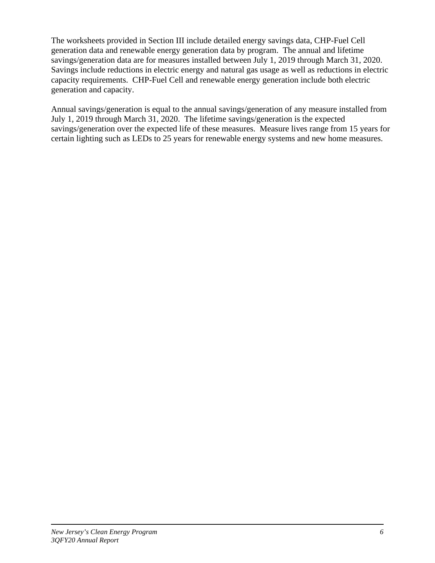The worksheets provided in Section III include detailed energy savings data, CHP-Fuel Cell generation data and renewable energy generation data by program. The annual and lifetime savings/generation data are for measures installed between July 1, 2019 through March 31, 2020. Savings include reductions in electric energy and natural gas usage as well as reductions in electric capacity requirements. CHP-Fuel Cell and renewable energy generation include both electric generation and capacity.

Annual savings/generation is equal to the annual savings/generation of any measure installed from July 1, 2019 through March 31, 2020. The lifetime savings/generation is the expected savings/generation over the expected life of these measures. Measure lives range from 15 years for certain lighting such as LEDs to 25 years for renewable energy systems and new home measures.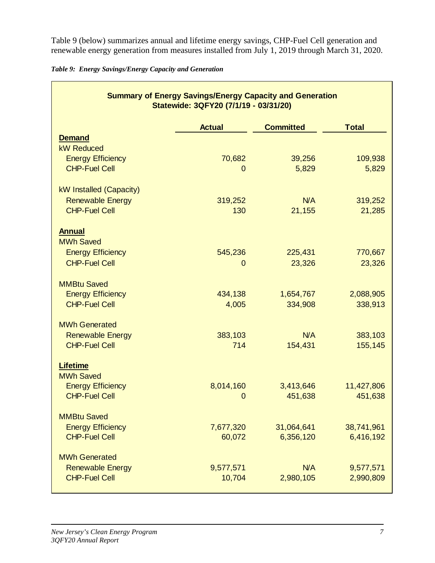Table 9 (below) summarizes annual and lifetime energy savings, CHP-Fuel Cell generation and renewable energy generation from measures installed from July 1, 2019 through March 31, 2020.

|  | Table 9: Energy Savings/Energy Capacity and Generation |  |  |
|--|--------------------------------------------------------|--|--|
|  |                                                        |  |  |

|                                     | <b>Summary of Energy Savings/Energy Capacity and Generation</b><br>Statewide: 3QFY20 (7/1/19 - 03/31/20) |                  |              |
|-------------------------------------|----------------------------------------------------------------------------------------------------------|------------------|--------------|
|                                     | <b>Actual</b>                                                                                            | <b>Committed</b> | <b>Total</b> |
| <b>Demand</b>                       |                                                                                                          |                  |              |
| <b>kW Reduced</b>                   |                                                                                                          |                  |              |
| <b>Energy Efficiency</b>            | 70,682                                                                                                   | 39,256           | 109,938      |
| <b>CHP-Fuel Cell</b>                | $\mathbf 0$                                                                                              | 5,829            | 5,829        |
| kW Installed (Capacity)             |                                                                                                          |                  |              |
| <b>Renewable Energy</b>             | 319,252                                                                                                  | N/A              | 319,252      |
| <b>CHP-Fuel Cell</b>                | 130                                                                                                      | 21,155           | 21,285       |
| <b>Annual</b><br><b>MWh Saved</b>   |                                                                                                          |                  |              |
| <b>Energy Efficiency</b>            | 545,236                                                                                                  | 225,431          | 770,667      |
| <b>CHP-Fuel Cell</b>                | $\overline{0}$                                                                                           | 23,326           | 23,326       |
| <b>MMBtu Saved</b>                  |                                                                                                          |                  |              |
| <b>Energy Efficiency</b>            | 434,138                                                                                                  | 1,654,767        | 2,088,905    |
| <b>CHP-Fuel Cell</b>                | 4,005                                                                                                    | 334,908          | 338,913      |
| <b>MWh Generated</b>                |                                                                                                          |                  |              |
| <b>Renewable Energy</b>             | 383,103                                                                                                  | N/A              | 383,103      |
| <b>CHP-Fuel Cell</b>                | 714                                                                                                      | 154,431          | 155,145      |
| <b>Lifetime</b><br><b>MWh Saved</b> |                                                                                                          |                  |              |
| <b>Energy Efficiency</b>            | 8,014,160                                                                                                | 3,413,646        | 11,427,806   |
| <b>CHP-Fuel Cell</b>                | 0                                                                                                        | 451,638          | 451,638      |
| <b>MMBtu Saved</b>                  |                                                                                                          |                  |              |
| <b>Energy Efficiency</b>            | 7,677,320                                                                                                | 31,064,641       | 38,741,961   |
| <b>CHP-Fuel Cell</b>                | 60,072                                                                                                   | 6,356,120        | 6,416,192    |
| <b>MWh Generated</b>                |                                                                                                          |                  |              |
| <b>Renewable Energy</b>             | 9,577,571                                                                                                | N/A              | 9,577,571    |
| <b>CHP-Fuel Cell</b>                | 10,704                                                                                                   | 2,980,105        | 2,990,809    |

h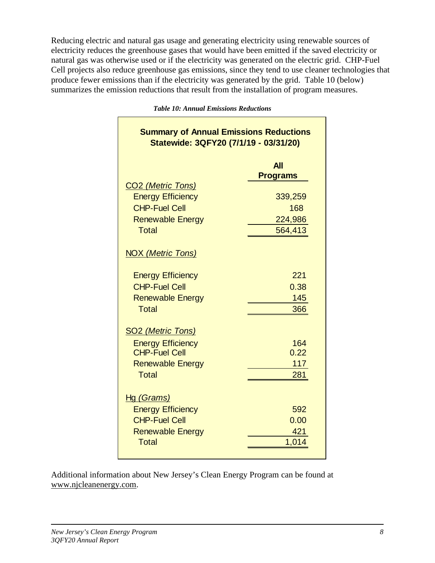Reducing electric and natural gas usage and generating electricity using renewable sources of electricity reduces the greenhouse gases that would have been emitted if the saved electricity or natural gas was otherwise used or if the electricity was generated on the electric grid. CHP-Fuel Cell projects also reduce greenhouse gas emissions, since they tend to use cleaner technologies that produce fewer emissions than if the electricity was generated by the grid. Table 10 (below) summarizes the emission reductions that result from the installation of program measures.

| <b>Summary of Annual Emissions Reductions</b><br>Statewide: 3QFY20 (7/1/19 - 03/31/20) |                               |
|----------------------------------------------------------------------------------------|-------------------------------|
|                                                                                        | <b>All</b><br><b>Programs</b> |
| CO <sub>2</sub> (Metric Tons)<br><b>Energy Efficiency</b>                              | 339,259                       |
| <b>CHP-Fuel Cell</b>                                                                   | 168                           |
| <b>Renewable Energy</b><br><b>Total</b>                                                | 224,986<br>564,413            |
| <b>NOX (Metric Tons)</b>                                                               |                               |
| <b>Energy Efficiency</b>                                                               | 221                           |
| <b>CHP-Fuel Cell</b>                                                                   | 0.38                          |
| <b>Renewable Energy</b>                                                                | 145                           |
| <b>Total</b>                                                                           | 366                           |
| <b>SO2 (Metric Tons)</b>                                                               |                               |
| <b>Energy Efficiency</b>                                                               | 164                           |
| <b>CHP-Fuel Cell</b>                                                                   | 0.22                          |
| <b>Renewable Energy</b>                                                                | 117                           |
| <b>Total</b>                                                                           | 281                           |
| <u>Hg (Grams)</u>                                                                      |                               |
| <b>Energy Efficiency</b>                                                               | 592                           |
| <b>CHP-Fuel Cell</b>                                                                   | 0.00                          |
| <b>Renewable Energy</b>                                                                | 421                           |
| <b>Total</b>                                                                           | 1,014                         |

*Table 10: Annual Emissions Reductions*

Additional information about New Jersey's Clean Energy Program can be found at [www.njcleanenergy.com.](http://www.njcleanenergy.com/)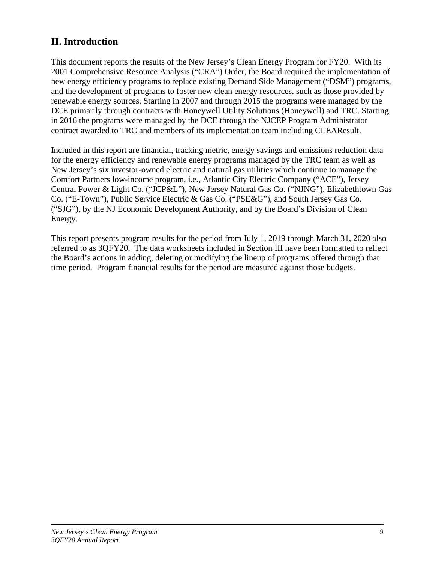## **II. Introduction**

This document reports the results of the New Jersey's Clean Energy Program for FY20. With its 2001 Comprehensive Resource Analysis ("CRA") Order, the Board required the implementation of new energy efficiency programs to replace existing Demand Side Management ("DSM") programs, and the development of programs to foster new clean energy resources, such as those provided by renewable energy sources. Starting in 2007 and through 2015 the programs were managed by the DCE primarily through contracts with Honeywell Utility Solutions (Honeywell) and TRC. Starting in 2016 the programs were managed by the DCE through the NJCEP Program Administrator contract awarded to TRC and members of its implementation team including CLEAResult.

Included in this report are financial, tracking metric, energy savings and emissions reduction data for the energy efficiency and renewable energy programs managed by the TRC team as well as New Jersey's six investor-owned electric and natural gas utilities which continue to manage the Comfort Partners low-income program, i.e., Atlantic City Electric Company ("ACE"), Jersey Central Power & Light Co. ("JCP&L"), New Jersey Natural Gas Co. ("NJNG"), Elizabethtown Gas Co. ("E-Town"), Public Service Electric & Gas Co. ("PSE&G"), and South Jersey Gas Co. ("SJG"), by the NJ Economic Development Authority, and by the Board's Division of Clean Energy.

This report presents program results for the period from July 1, 2019 through March 31, 2020 also referred to as 3QFY20. The data worksheets included in Section III have been formatted to reflect the Board's actions in adding, deleting or modifying the lineup of programs offered through that time period. Program financial results for the period are measured against those budgets.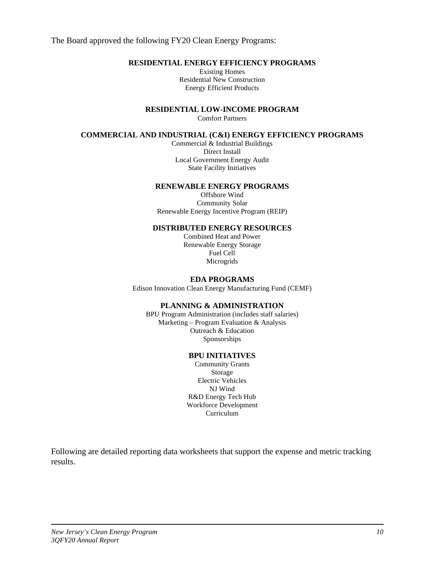The Board approved the following FY20 Clean Energy Programs:

### **RESIDENTIAL ENERGY EFFICIENCY PROGRAMS**

Existing Homes Residential New Construction Energy Efficient Products

**RESIDENTIAL LOW-INCOME PROGRAM**

Comfort Partners

#### **COMMERCIAL AND INDUSTRIAL (C&I) ENERGY EFFICIENCY PROGRAMS**

Commercial & Industrial Buildings Direct Install Local Government Energy Audit State Facility Initiatives

#### **RENEWABLE ENERGY PROGRAMS**

Offshore Wind Community Solar Renewable Energy Incentive Program (REIP)

#### **DISTRIBUTED ENERGY RESOURCES**

Combined Heat and Power Renewable Energy Storage Fuel Cell **Microgrids** 

#### **EDA PROGRAMS**

Edison Innovation Clean Energy Manufacturing Fund (CEMF)

#### **PLANNING & ADMINISTRATION**

BPU Program Administration (includes staff salaries) Marketing – Program Evaluation & Analysis Outreach & Education Sponsorships

#### **BPU INITIATIVES**

Community Grants Storage Electric Vehicles NJ Wind R&D Energy Tech Hub Workforce Development Curriculum

Following are detailed reporting data worksheets that support the expense and metric tracking results.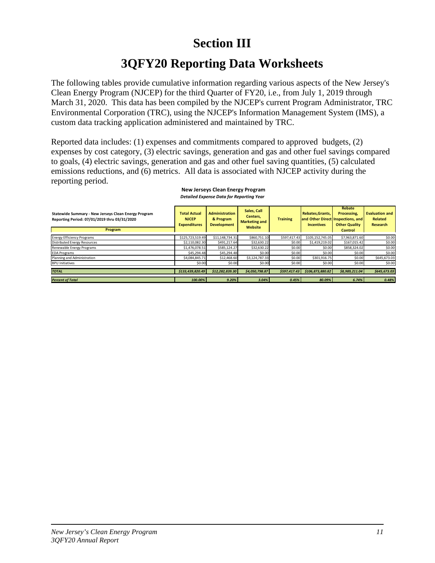# **Section III**

# **3QFY20 Reporting Data Worksheets**

The following tables provide cumulative information regarding various aspects of the New Jersey's Clean Energy Program (NJCEP) for the third Quarter of FY20, i.e., from July 1, 2019 through March 31, 2020. This data has been compiled by the NJCEP's current Program Administrator, TRC Environmental Corporation (TRC), using the NJCEP's Information Management System (IMS), a custom data tracking application administered and maintained by TRC.

Reported data includes: (1) expenses and commitments compared to approved budgets, (2) expenses by cost category, (3) electric savings, generation and gas and other fuel savings compared to goals, (4) electric savings, generation and gas and other fuel saving quantities, (5) calculated emissions reductions, and (6) metrics. All data is associated with NJCEP activity during the reporting period.

| Statewide Summary - New Jerseys Clean Energy Program<br>Reporting Period: 07/01/2019 thru 03/31/2020<br>Program | <b>Total Actual</b><br><b>NJCEP</b><br><b>Expenditures</b> | <b>Administration</b><br>& Program<br><b>Development</b> | Sales, Call<br>Centers.<br><b>Marketing and</b><br>Website | <b>Training</b> | Rebates.Grants.<br><b>Incentives</b> | Rebate<br>Processing,<br>and Other Direct Inspections, and<br><b>Other Quality</b><br>Control | <b>Evaluation and</b><br><b>Related</b><br><b>Research</b> |
|-----------------------------------------------------------------------------------------------------------------|------------------------------------------------------------|----------------------------------------------------------|------------------------------------------------------------|-----------------|--------------------------------------|-----------------------------------------------------------------------------------------------|------------------------------------------------------------|
| <b>Energy Efficiency Programs</b>                                                                               | \$125,723,519.49                                           | \$11.148.734.31                                          | \$860,751.10                                               | \$597.417.43    | \$105,152,745.05                     | \$7,963,871.60                                                                                | \$0.00                                                     |
| Distributed Energy Resources                                                                                    | \$2,110,082.30                                             | \$491,217.64                                             | \$32,630.22                                                | \$0.00          | \$1,419,219.02                       | \$167,015.42                                                                                  | \$0.00                                                     |
| Renewable Energy Programs                                                                                       | \$1,476,078.51                                             | \$585.124.27                                             | \$32,630.22                                                | \$0.00          | \$0.00                               | \$858,324.02                                                                                  | \$0.00                                                     |
| <b>EDA Programs</b>                                                                                             | \$45.294.48                                                | \$45.294.48                                              | \$0.00                                                     | \$0.00          | \$0.00                               | \$0.00                                                                                        | \$0.00                                                     |
| Planning and Administration                                                                                     | \$4,084,845.71                                             | \$12,468.60                                              | \$3,124,787.33                                             | \$0.00          | \$301.916.75                         | \$0.00                                                                                        | \$645,673.03                                               |
| <b>BPU Initiatives</b>                                                                                          | \$0.00                                                     | \$0.00                                                   | \$0.00                                                     | \$0.00          | \$0.00                               | \$0.00                                                                                        | \$0.00                                                     |
| <b>TOTAL</b>                                                                                                    | \$133,439,820.49                                           | \$12,282,839.30                                          | \$4,050,798.87                                             | \$597.417.43    | \$106,873,880.82                     | \$8,989,211.04                                                                                | \$645,673.03                                               |
| <b>Percent of Total</b>                                                                                         | 100.00%                                                    | 9.20%                                                    | 3.04%                                                      | 0.45%           | 80.09%                               | 6.74%                                                                                         | 0.48%                                                      |

#### *Detailed Expense Data for Reporting Year*  **New Jerseys Clean Energy Program**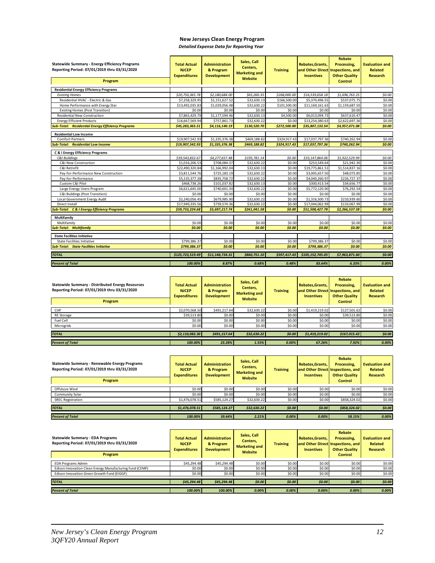### **New Jerseys Clean Energy Program**

*Detailed Expense Data for Reporting Year* 

| <b>Statewide Summary - Energy Efficiency Programs</b><br>Reporting Period: 07/01/2019 thru 03/31/2020<br>Program | <b>Total Actual</b><br><b>NJCEP</b><br><b>Expenditures</b> | <b>Administration</b><br>& Program<br><b>Development</b> | Sales, Call<br>Centers,<br><b>Marketing and</b><br>Website | <b>Training</b> | Rebates, Grants,<br>and Other Direct<br><b>Incentives</b> | Rebate<br>Processing,<br><b>Inspections, and</b><br><b>Other Quality</b><br><b>Control</b> | <b>Evaluation and</b><br><b>Related</b><br><b>Research</b> |
|------------------------------------------------------------------------------------------------------------------|------------------------------------------------------------|----------------------------------------------------------|------------------------------------------------------------|-----------------|-----------------------------------------------------------|--------------------------------------------------------------------------------------------|------------------------------------------------------------|
| <b>Residential Energy Efficiency Programs</b>                                                                    |                                                            |                                                          |                                                            |                 |                                                           |                                                                                            |                                                            |
| <b>Existing Homes</b>                                                                                            | \$20,750,365.78                                            | \$2,180,684.00                                           | \$65,260.35                                                | \$268,000.00    | \$16,539,658.18                                           | \$1,696,763.25                                                                             | \$0.00                                                     |
| Residential HVAC - Electric & Gas                                                                                | \$7,258,329.95                                             | \$1,151,627.52                                           | \$32,630.13                                                | \$166,500.00    | \$5,370,496.55                                            | \$537,075.75                                                                               | \$0.00                                                     |
| Home Performance with Energy Star                                                                                | \$13,492,035.83                                            | \$1,029,056.48                                           | \$32,630.22                                                | \$101,500.00    | \$11,169,161.63                                           | \$1,159,687.50                                                                             | \$0.00                                                     |
| <b>Existing Homes (Post Transition)</b>                                                                          | \$0.00                                                     | \$0.00                                                   | \$0.00                                                     | \$0.00          | \$0.00                                                    | \$0.00                                                                                     | \$0.00                                                     |
| Residential New Construction                                                                                     | \$7,865,429.79                                             | \$1,177,594.46                                           | \$32,630.13                                                | \$4,500.00      | \$6,013,094.73                                            | \$637,610.47                                                                               | \$0.00                                                     |
| <b>Energy Efficient Products</b>                                                                                 | \$16,667,569.94                                            | \$757,861.73                                             | \$32,630.22                                                | \$0.00          | \$13,254,380.63                                           | \$2,622,697.36                                                                             | \$0.00                                                     |
| <b>Sub-Total: Residential Energy Efficiency Programs</b>                                                         | \$45,283,365.51                                            | \$4,116,140.19                                           | \$130,520.70                                               | \$272,500.00    | \$35,807,133.54                                           | \$4,957,071.08                                                                             | \$0.00                                                     |
| <b>Residential Low Income</b>                                                                                    |                                                            |                                                          |                                                            |                 |                                                           |                                                                                            |                                                            |
| <b>Comfort Partners</b>                                                                                          | \$19,907,542.93                                            | \$1,335,376.38                                           | \$469,188.82                                               | \$324,917.43    | \$17,037,797.36                                           | \$740,262.94                                                                               | \$0.00                                                     |
| <b>Sub-Total: Residential Low Income</b>                                                                         | \$19,907,542.93                                            | \$1,335,376.38                                           | \$469,188.82                                               | \$324,917.43    | \$17,037,797.36                                           | \$740,262.94                                                                               | \$0.00                                                     |
| C & I Energy Efficiency Programs                                                                                 |                                                            |                                                          |                                                            |                 |                                                           |                                                                                            |                                                            |
| C&I Buildings                                                                                                    | \$39,543,832.67                                            | \$4,277,657.48                                           | \$195,781.14                                               | \$0.00          | \$33,147,864.06                                           | \$1,922,529.99                                                                             | \$0.00                                                     |
| C&I New Construction                                                                                             | \$1,016,206.53                                             | \$708,084.37                                             | \$32,630.22                                                | \$0.00          | \$253,549.64                                              | \$21,942.30                                                                                | \$0.00                                                     |
| C&I Retrofit                                                                                                     | \$22,490,320.84                                            | \$1,166,992.04                                           | \$32,630.13                                                | \$0.00          | \$19,775,861.51                                           | \$1,514,837.16                                                                             | \$0.00                                                     |
| Pay-for-Performance New Construction                                                                             | \$3,811,544.76                                             | \$725,183.19                                             | \$32,630.22                                                | \$0.00          | \$3,005,657.50                                            | \$48,073.85                                                                                | \$0.00                                                     |
| Pay-for-Performance                                                                                              | \$5,135,377.28                                             | \$835,758.72                                             | \$32,630.22                                                | \$0.00          | \$4,040,260.97                                            | \$226,727.37                                                                               | \$0.00                                                     |
| Custom C&I Pilot                                                                                                 | \$468,738.26                                               | \$101,037.82                                             | \$32,630.13                                                | \$0.00          | \$300,413.54                                              | \$34,656.77                                                                                | \$0.00                                                     |
| Large Energy Users Program                                                                                       | \$6,621,645.00                                             | \$740,601.34                                             | \$32,630.22                                                | \$0.00          | \$5,772,120.90                                            | \$76,292.54                                                                                | \$0.00                                                     |
| C&I Buildings (Post Transition)                                                                                  | \$0.00                                                     | \$0.00                                                   | \$0.00                                                     | \$0.00          | \$0.00                                                    | \$0.00                                                                                     | \$0.00                                                     |
| Local Government Energy Audit                                                                                    | \$2,240,056.45                                             | \$679,985.90                                             | \$32,630.22                                                | \$0.00          | \$1,316,500.73                                            | \$210,939.60                                                                               | \$0.00                                                     |
| Direct Install                                                                                                   | \$17,949,335.56                                            | \$739,574.36                                             | \$32,630.22                                                | \$0.00          | \$17,044,062.99                                           | \$133,067.99                                                                               | \$0.00                                                     |
| <b>Sub-Total: C &amp; I Energy Efficiency Programs</b>                                                           | \$59,733,224.68                                            | \$5,697,217.74                                           | \$261,041.58                                               | \$0.00          | \$51,508,427.78                                           | \$2,266,537.58                                                                             | \$0.00                                                     |
| Multifamily                                                                                                      |                                                            |                                                          |                                                            |                 |                                                           |                                                                                            |                                                            |
| Multifamily                                                                                                      | \$0.00                                                     | \$0.00                                                   | \$0.00                                                     | \$0.00          | \$0.00                                                    | \$0.00                                                                                     | \$0.00                                                     |
| <b>Sub-Total: Multifamily</b>                                                                                    | \$0.00                                                     | \$0.00                                                   | \$0.00                                                     | \$0.00          | \$0.00                                                    | \$0.00                                                                                     | \$0.00                                                     |
| <b>State Facilities Initiative</b>                                                                               |                                                            |                                                          |                                                            |                 |                                                           |                                                                                            |                                                            |
| <b>State Facilities Initiative</b>                                                                               | \$799,386.37                                               | \$0.00                                                   | \$0.00                                                     | \$0.00          | \$799,386.37                                              | \$0.00                                                                                     | \$0.00                                                     |
| <b>Sub-Total: State Facilities Initiative</b>                                                                    | \$799,386.37                                               | \$0.00                                                   | \$0.00                                                     | \$0.00          | \$799,386.37                                              | \$0.00                                                                                     | \$0.00                                                     |
| <b>TOTAL</b>                                                                                                     | \$125,723,519.49                                           | \$11,148,734.31                                          | \$860,751.10                                               | \$597,417.43    | \$105,152,745.05                                          | \$7,963,871.60                                                                             | \$0.00                                                     |
| <b>Percent of Total</b>                                                                                          | 100.00%                                                    | 8.87%                                                    | 0.68%                                                      | 0.48%           | 83.64%                                                    | 6.33%                                                                                      | 0.00%                                                      |

| <b>Statewide Summary - Distributed Energy Resources</b><br>Reporting Period: 07/01/2019 thru 03/31/2020<br>Program | <b>Total Actual</b><br><b>NJCEP</b><br><b>Expenditures</b> | <b>Administration</b><br>& Program<br><b>Development</b> | Sales, Call<br>Centers.<br><b>Marketing and</b><br>Website | <b>Training</b> | Rebates.Grants.<br>and Other Direct Inspections, and<br><b>Incentives</b> | Rebate<br>Processing,<br><b>Other Quality</b><br><b>Control</b> | <b>Evaluation and</b><br><b>Related</b><br>Research |
|--------------------------------------------------------------------------------------------------------------------|------------------------------------------------------------|----------------------------------------------------------|------------------------------------------------------------|-----------------|---------------------------------------------------------------------------|-----------------------------------------------------------------|-----------------------------------------------------|
| CHP                                                                                                                | \$2,070,568.50                                             | \$491.217.64                                             | \$32,630.22                                                | \$0.00          | \$1,419,219.02                                                            | \$127,501.62                                                    | \$0.00                                              |
| <b>RE Storage</b>                                                                                                  | \$39,513.80                                                | \$0.00                                                   | \$0.00                                                     | \$0.00          | \$0.00                                                                    | \$39,513.80                                                     | \$0.00                                              |
| Fuel Cell                                                                                                          | \$0.00                                                     | \$0.00                                                   | \$0.00                                                     | \$0.00          | \$0.00                                                                    | \$0.00                                                          | \$0.00                                              |
| Microgrids                                                                                                         | \$0.00                                                     | \$0.00                                                   | \$0.00                                                     | \$0.00          | \$0.00                                                                    | \$0.00                                                          | \$0.00                                              |
| <b>TOTAL</b>                                                                                                       | \$2,110,082.30                                             | \$491.217.64                                             | \$32,630.22                                                | \$0.00          | \$1,419,219.02                                                            | \$167,015.42                                                    | \$0.00                                              |
| <b>Percent of Total</b>                                                                                            | 100.00%                                                    | 23.28%                                                   | 1.55%                                                      | 0.00%           | 67.26%                                                                    | 7.92%                                                           | 0.00%                                               |

| Statewide Summary - Renewable Energy Programs<br>Reporting Period: 07/01/2019 thru 03/31/2020<br>Program | <b>Total Actual</b><br><b>NJCEP</b><br><b>Expenditures</b> | <b>Administration</b><br>& Program<br><b>Development</b> | Sales, Call<br>Centers,<br><b>Marketing and</b><br>Website | <b>Training</b> | Rebates.Grants.<br><b>Incentives</b> | Rebate<br>Processing,<br>and Other Direct Inspections, and<br><b>Other Quality</b><br><b>Control</b> | <b>Evaluation and</b><br><b>Related</b><br><b>Research</b> |
|----------------------------------------------------------------------------------------------------------|------------------------------------------------------------|----------------------------------------------------------|------------------------------------------------------------|-----------------|--------------------------------------|------------------------------------------------------------------------------------------------------|------------------------------------------------------------|
| Offshore Wind                                                                                            | \$0.00                                                     | \$0.00                                                   | \$0.00                                                     | \$0.00          | \$0.00                               | \$0.00                                                                                               | \$0.00                                                     |
| Community Solar                                                                                          | \$0.00                                                     | \$0.00                                                   | \$0.00                                                     | \$0.00          | \$0.00                               | \$0.00                                                                                               | \$0.00                                                     |
| <b>SREC Registration</b>                                                                                 | \$1,476,078.51                                             | \$585,124.27                                             | \$32,630.22                                                | \$0.00          | \$0.00                               | \$858,324.02                                                                                         | \$0.00                                                     |
| <b>TOTAL</b>                                                                                             | \$1,476,078.51                                             | \$585,124.27                                             | \$32,630.22                                                | \$0.00          | \$0.00                               | \$858,324.02                                                                                         | \$0.00\$                                                   |
| <b>Percent of Total</b>                                                                                  | 100.00%                                                    | 39.64%                                                   | 2.21%                                                      | 0.00%           | 0.00%                                | 58.15%                                                                                               | $0.00\%$                                                   |

| <b>Statewide Summary - EDA Programs</b><br>Reporting Period: 07/01/2019 thru 03/31/2020<br>Program | <b>Total Actual</b><br><b>NJCEP</b><br><b>Expenditures</b> | <b>Administration</b><br>& Program<br><b>Development</b> | Sales, Call<br>Centers,<br><b>Marketing and</b><br>Website | <b>Training</b> | <b>Rebates.Grants.</b><br><b>Incentives</b> | Rebate<br>Processing,<br>and Other Direct Inspections, and<br><b>Other Quality</b><br><b>Control</b> | <b>Evaluation and</b><br>Related<br><b>Research</b> |
|----------------------------------------------------------------------------------------------------|------------------------------------------------------------|----------------------------------------------------------|------------------------------------------------------------|-----------------|---------------------------------------------|------------------------------------------------------------------------------------------------------|-----------------------------------------------------|
| <b>EDA Programs Admin</b>                                                                          | \$45,294.48                                                | \$45,294.48                                              | \$0.00                                                     | \$0.00          | \$0.00                                      | \$0.00                                                                                               | \$0.00                                              |
| Edison Innovation Clean Energy Manufacturing Fund (CEMF)                                           | \$0.00                                                     | \$0.00                                                   | \$0.00                                                     | \$0.00          | \$0.00                                      | \$0.00                                                                                               | \$0.00                                              |
| Edison Innovation Green Growth Fund (EIGGF)                                                        | \$0.00                                                     | \$0.00                                                   | \$0.00                                                     | \$0.00          | \$0.00                                      | \$0.00                                                                                               | \$0.00                                              |
| <b>TOTAL</b>                                                                                       | \$45,294.48                                                | \$45.294.48                                              | \$0.00                                                     | \$0.00          | \$0.00                                      | \$0.00                                                                                               | \$0.00                                              |
| <b>Percent of Total</b>                                                                            | 100.00%                                                    | 100.00%                                                  | 0.00%                                                      | 0.00%           | 0.00%                                       | $0.00\%$                                                                                             | 0.00%                                               |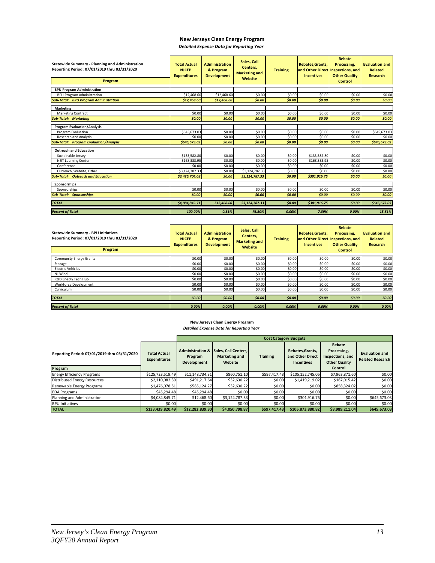## **New Jerseys Clean Energy Program**

| Statewide Summary - Planning and Administration<br>Reporting Period: 07/01/2019 thru 03/31/2020<br>Program | <b>Total Actual</b><br><b>NJCEP</b><br><b>Expenditures</b> | <b>Administration</b><br>& Program<br><b>Development</b> | Sales, Call<br>Centers,<br><b>Marketing and</b><br>Website | <b>Training</b> | Rebates, Grants,<br>and Other Direct Inspections, and<br><b>Incentives</b> | Rebate<br>Processing,<br><b>Other Quality</b><br><b>Control</b> | <b>Evaluation and</b><br><b>Related</b><br><b>Research</b> |
|------------------------------------------------------------------------------------------------------------|------------------------------------------------------------|----------------------------------------------------------|------------------------------------------------------------|-----------------|----------------------------------------------------------------------------|-----------------------------------------------------------------|------------------------------------------------------------|
| <b>BPU Program Administration</b>                                                                          |                                                            |                                                          |                                                            |                 |                                                                            |                                                                 |                                                            |
| <b>BPU Program Administration</b>                                                                          | \$12,468.60                                                | \$12,468.60                                              | \$0.00                                                     | \$0.00          | \$0.00                                                                     | \$0.00                                                          | \$0.00                                                     |
| <b>Sub-Total: BPU Program Administration</b>                                                               | \$12,468.60                                                | \$12,468.60                                              | \$0.00                                                     | \$0.00          | \$0.00                                                                     | \$0.00                                                          | \$0.00                                                     |
| <b>Marketing</b>                                                                                           |                                                            |                                                          |                                                            |                 |                                                                            |                                                                 |                                                            |
| <b>Marketing Contract</b>                                                                                  | \$0.00                                                     | \$0.00                                                   | \$0.00                                                     | \$0.00          | \$0.00                                                                     | \$0.00                                                          | \$0.00                                                     |
| <b>Sub-Total: Marketing</b>                                                                                | \$0.00                                                     | \$0.00                                                   | \$0.00                                                     | \$0.00          | \$0.00                                                                     | \$0.00                                                          | \$0.00                                                     |
| <b>Program Evaluation/Analysis</b>                                                                         |                                                            |                                                          |                                                            |                 |                                                                            |                                                                 |                                                            |
| Program Evaluation                                                                                         | \$645,673.03                                               | \$0.00                                                   | \$0.00                                                     | \$0.00          | \$0.00                                                                     | \$0.00                                                          | \$645,673.03                                               |
| <b>Research and Analysis</b>                                                                               | \$0.00                                                     | \$0.00                                                   | \$0.00                                                     | \$0.00          | \$0.00                                                                     | \$0.00                                                          | \$0.00                                                     |
| <b>Sub-Total: Program Evaluation/Analysis</b>                                                              | \$645,673.03                                               | \$0.00                                                   | \$0.00                                                     | \$0.00          | \$0.00                                                                     | \$0.00                                                          | \$645,673.03                                               |
| <b>Outreach and Education</b>                                                                              |                                                            |                                                          |                                                            |                 |                                                                            |                                                                 |                                                            |
| Sustainable Jersey                                                                                         | \$133,582.80                                               | \$0.00                                                   | \$0.00                                                     | \$0.00          | \$133,582.80                                                               | \$0.00                                                          | \$0.00                                                     |
| <b>NJIT Learning Center</b>                                                                                | \$168,333.95                                               | \$0.00                                                   | \$0.00                                                     | \$0.00          | \$168,333.95                                                               | \$0.00                                                          | \$0.00                                                     |
| Conference                                                                                                 | \$0.00                                                     | \$0.00                                                   | \$0.00                                                     | \$0.00          | \$0.00                                                                     | \$0.00                                                          | \$0.00                                                     |
| Outreach, Website, Other                                                                                   | \$3,124,787.33                                             | \$0.00                                                   | \$3,124,787.33                                             | \$0.00          | \$0.00                                                                     | \$0.00                                                          | \$0.00                                                     |
| <b>Sub-Total: Outreach and Education</b>                                                                   | \$3,426,704.08                                             | \$0.00                                                   | \$3,124,787.33                                             | \$0.00          | \$301,916.75                                                               | \$0.00                                                          | \$0.00                                                     |
| Sponsorships                                                                                               |                                                            |                                                          |                                                            |                 |                                                                            |                                                                 |                                                            |
| Sponsorships                                                                                               | \$0.00                                                     | \$0.00                                                   | \$0.00                                                     | \$0.00          | \$0.00                                                                     | \$0.00                                                          | \$0.00                                                     |
| <b>Sub-Total: Sponsorships</b>                                                                             | \$0.00                                                     | \$0.00                                                   | \$0.00                                                     | \$0.00          | \$0.00                                                                     | \$0.00                                                          | \$0.00                                                     |
| <b>TOTAL</b>                                                                                               | \$4,084,845.71                                             | \$12,468.60                                              | \$3,124,787.33                                             | \$0.00          | \$301,916.75                                                               | \$0.00                                                          | \$645,673.03                                               |
| <b>Percent of Total</b>                                                                                    | 100.00%                                                    | 0.31%                                                    | 76.50%                                                     | 0.00%           | 7.39%                                                                      | 0.00%                                                           | 15.81%                                                     |

| <b>Statewide Summary - BPU Initiatives</b><br>Reporting Period: 07/01/2019 thru 03/31/2020<br>Program | <b>Total Actual</b><br><b>NJCEP</b><br><b>Expenditures</b> | <b>Administration</b><br>& Program<br><b>Development</b> | Sales, Call<br>Centers.<br><b>Marketing and</b><br>Website | <b>Training</b> | Rebates, Grants,<br><b>Incentives</b> | Rebate<br>Processing.<br>and Other Direct Inspections, and<br><b>Other Quality</b><br><b>Control</b> | <b>Evaluation and</b><br><b>Related</b><br><b>Research</b> |
|-------------------------------------------------------------------------------------------------------|------------------------------------------------------------|----------------------------------------------------------|------------------------------------------------------------|-----------------|---------------------------------------|------------------------------------------------------------------------------------------------------|------------------------------------------------------------|
| <b>Community Energy Grants</b>                                                                        | \$0.00                                                     | \$0.00                                                   | \$0.00                                                     | \$0.00          | \$0.00                                | \$0.00                                                                                               | \$0.00                                                     |
| Storage                                                                                               | \$0.00                                                     | \$0.00                                                   | \$0.00                                                     | \$0.00          | \$0.00                                | \$0.00                                                                                               | \$0.00                                                     |
| <b>Electric Vehicles</b>                                                                              | \$0.00                                                     | \$0.00                                                   | \$0.00                                                     | \$0.00          | \$0.00                                | \$0.00                                                                                               | \$0.00                                                     |
| NJ Wind                                                                                               | \$0.00                                                     | \$0.00                                                   | \$0.00                                                     | \$0.00          | \$0.00                                | \$0.00                                                                                               | \$0.00                                                     |
| R&D Energy Tech Hub                                                                                   | \$0.00                                                     | \$0.00                                                   | \$0.00                                                     | \$0.00          | \$0.00                                | \$0.00                                                                                               | \$0.00                                                     |
| Workforce Development                                                                                 | \$0.00                                                     | \$0.00                                                   | \$0.00                                                     | \$0.00          | \$0.00                                | \$0.00                                                                                               | \$0.00                                                     |
| Curriculum                                                                                            | \$0.00                                                     | \$0.00                                                   | \$0.00                                                     | \$0.00          | \$0.00                                | \$0.00                                                                                               | \$0.00                                                     |
| <b>TOTAL</b>                                                                                          | \$0.00                                                     | \$0.00                                                   | \$0.00                                                     | \$0.00          | \$0.00                                | \$0.00                                                                                               | \$0.00                                                     |
| <b>Percent of Total</b>                                                                               | 0.00%                                                      | $0.00\%$                                                 | 0.00%                                                      | 0.00%           | 0.00%                                 | 0.00%                                                                                                | 0.00%                                                      |

#### **New Jerseys Clean Energy Program** *Detailed Expense Data for Reporting Year*

|                                                         |                                            | <b>Cost Category Budgets</b>                                 |                                                         |                 |                                                           |                                                                              |                                                  |  |  |  |  |  |
|---------------------------------------------------------|--------------------------------------------|--------------------------------------------------------------|---------------------------------------------------------|-----------------|-----------------------------------------------------------|------------------------------------------------------------------------------|--------------------------------------------------|--|--|--|--|--|
| Reporting Period: 07/01/2019 thru 03/31/2020<br>Program | <b>Total Actual</b><br><b>Expenditures</b> | <b>Administration &amp;</b><br>Program<br><b>Development</b> | Sales. Call Centers.<br><b>Marketing and</b><br>Website | <b>Training</b> | Rebates, Grants,<br>and Other Direct<br><b>Incentives</b> | Rebate<br>Processing,<br>Inspections, and<br><b>Other Quality</b><br>Control | <b>Evaluation and</b><br><b>Related Research</b> |  |  |  |  |  |
| <b>Energy Efficiency Programs</b>                       | \$125,723,519.49                           | \$11,148,734.31                                              | \$860.751.10                                            | \$597,417.43    | \$105,152,745.05                                          | \$7,963,871.60                                                               | \$0.00                                           |  |  |  |  |  |
| Distributed Energy Resources                            | \$2,110,082.30                             | \$491.217.64                                                 | \$32,630.22                                             | \$0.00          | \$1,419,219.02                                            | \$167,015.42                                                                 | \$0.00                                           |  |  |  |  |  |
| Renewable Energy Programs                               | \$1,476,078.51                             | \$585.124.27                                                 | \$32,630.22                                             | \$0.00          | \$0.00                                                    | \$858,324.02                                                                 | \$0.00                                           |  |  |  |  |  |
| <b>EDA Programs</b>                                     | \$45.294.48                                | \$45,294.48                                                  | \$0.00                                                  | \$0.00          | \$0.00                                                    | \$0.00                                                                       | \$0.00                                           |  |  |  |  |  |
| Planning and Administration                             | \$4,084,845.71                             | \$12,468.60                                                  | \$3,124,787.33                                          | \$0.00          | \$301,916.75                                              | \$0.00                                                                       | \$645,673.03                                     |  |  |  |  |  |
| <b>BPU Initiatives</b>                                  | \$0.00                                     | \$0.00                                                       | \$0.00                                                  | \$0.00          | \$0.00                                                    | \$0.00                                                                       | \$0.00                                           |  |  |  |  |  |
| <b>TOTAL</b>                                            | \$133,439,820.49                           | \$12.282.839.30                                              | \$4.050.798.87                                          | \$597,417.43    | \$106.873.880.82                                          | \$8,989,211.04                                                               | \$645,673.03                                     |  |  |  |  |  |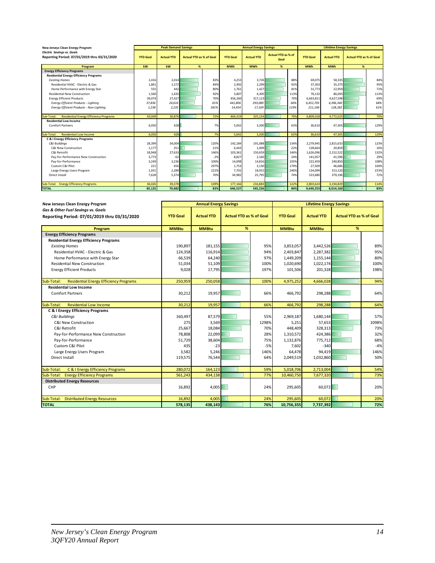| New Jerseys Clean Energy Program                                                  |                 | <b>Peak Demand Savings</b> |                                |       |                 | <b>Annual Energy Savings</b> |                                   |      |                 | <b>Lifetime Energy Savings</b> |                                |      |
|-----------------------------------------------------------------------------------|-----------------|----------------------------|--------------------------------|-------|-----------------|------------------------------|-----------------------------------|------|-----------------|--------------------------------|--------------------------------|------|
| <b>Electric Savings vs. Goals</b><br>Reporting Period: 07/01/2019 thru 03/31/2020 | <b>YTD Goal</b> | <b>Actual YTD</b>          | <b>Actual YTD as % of Goal</b> |       | <b>YTD Goal</b> | <b>Actual YTD</b>            | <b>Actual YTD as % of</b><br>Goal |      | <b>YTD Goal</b> | <b>Actual YTD</b>              | <b>Actual YTD as % of Goal</b> |      |
| Program                                                                           | kw              | kW                         | %                              |       | <b>MWh</b>      | <b>MWh</b>                   | %                                 |      | <b>MWh</b>      | <b>MWh</b>                     | %                              |      |
| <b>Energy Efficiency Programs</b>                                                 |                 |                            |                                |       |                 |                              |                                   |      |                 |                                |                                |      |
| <b>Residential Energy Efficiency Programs</b>                                     |                 |                            |                                |       |                 |                              |                                   |      |                 |                                |                                |      |
| <b>Existing Homes</b>                                                             | 2,416           | 2.014                      |                                | 83%   | 4.253           | 3.726                        |                                   | 88%  | 69.075          | 58.335                         |                                | 84%  |
| Residential HVAC - Electric & Gas                                                 | 1.861           | 1,572                      |                                | 84%   | 2.492           | 2,299                        |                                   | 92%  | 37.303          | 35.375                         |                                | 95%  |
| Home Performance with Energy Star                                                 | 555             | 442                        |                                | 80%   | 1.761           | 1,427                        |                                   | 81%  | 31,773          | 22,959                         |                                | 72%  |
| <b>Residential New Construction</b>                                               | 1,560           | 1,435                      |                                | 92%   | 3,807           | 4,305                        |                                   | 113% | 76,132          | 86,093                         |                                | 113% |
| <b>Energy Efficient Products</b>                                                  | 39,074          | 27,427                     |                                | 70%   | 456,260         | 317,123                      |                                   | 70%  | 6,663,811       | 4,627,598                      |                                | 69%  |
| <b>Energy Efficient Products - Lighting</b>                                       | 37,836          | 24,616                     |                                | 65%   | 441,806         | 293,089                      |                                   | 66%  | 6,452,705       | 4,396,340                      |                                | 68%  |
| Energy Efficient Products - Non-Lighting                                          | 1,238           | 2,235                      |                                | 181%  | 14,454          | 17,169                       |                                   | 119% | 211,106         | 128,282                        |                                | 61%  |
|                                                                                   |                 |                            |                                |       |                 |                              |                                   |      |                 |                                |                                |      |
| <b>Residential Energy Efficiency Programs</b><br>Sub-Total:                       | 43,049          | 30,876                     |                                | 72%   | 464.319         | 325.154                      |                                   | 70%  | 6.809.018       | 4.772.025                      |                                | 70%  |
| <b>Residential Low Income</b>                                                     |                 |                            |                                |       |                 |                              |                                   |      |                 |                                |                                |      |
| <b>Comfort Partners</b>                                                           | 6,050           | 428                        |                                | 7%    | 5,042           | 3,200                        |                                   | 63%  | 36.610          | 47,305                         |                                | 129% |
|                                                                                   |                 |                            |                                |       |                 |                              |                                   |      |                 |                                |                                |      |
| <b>Residential Low Income</b><br>Sub-Total:                                       | 6,050           | 428                        |                                | 7%    | 5,042           | 3,200                        |                                   | 63%  | 36,610          | 47,305                         |                                | 129% |
| C & I Energy Efficiency Programs                                                  |                 |                            |                                |       |                 |                              |                                   |      |                 |                                |                                |      |
| <b>C&amp;I Buildinas</b>                                                          | 28,399          | 34,004                     |                                | 120%  | 142,184         | 191.088                      |                                   | 134% | 2,279,945       | 2,815,633                      |                                | 123% |
| C&I New Construction                                                              | 1,177           | 251                        |                                | 21%   | 6.443           | 1.409                        |                                   | 22%  | 128,664         | 20,859                         |                                | 16%  |
| C&I Retrofit                                                                      | 18,948          | 27,633                     |                                | 146%  | 103,361         | 150,659                      |                                   | 146% | 1,626,096       | 2,152,522                      |                                | 132% |
| Pay-for-Performance New Construction                                              | 3,773           | $-62$                      |                                | $-2%$ | 8,827           | 2,160                        |                                   | 24%  | 141,057         | 41.596                         |                                | 29%  |
| Pay-for-Performance                                                               | 3,249           | 3,236                      |                                | 100%  | 14,098          | 14,816                       |                                   | 105% | 222,459         | 240,850                        |                                | 108% |
| Custom C&I Pilot                                                                  | 221             | 656                        |                                | 297%  | 1,753           | 3,130                        |                                   | 179% | 27,569          | 46,686                         |                                | 169% |
| Large Energy Users Program                                                        | 1,031           | 2,289                      |                                | 222%  | 7,702           | 18,915                       |                                   | 246% | 134,099         | 313,120                        |                                | 233% |
| Direct Install                                                                    | 7,628           | 5.374                      |                                | 70%   | 34,982          | 25.795                       |                                   | 74%  | 523.680         | 379,196                        |                                | 72%  |
|                                                                                   |                 |                            |                                |       |                 |                              |                                   |      |                 |                                |                                |      |
| Sub-Total: Energy Efficiency Programs                                             | 36,026          | 39,378                     |                                | 109%  | 177,166         | 216.883                      |                                   | 122% | 2,803,624       | 3,194,829                      |                                | 114% |
| <b>TOTAL</b>                                                                      | 85,125          | 70,682                     |                                | 83%   | 646.527         | 545,236                      |                                   | 84%  | 9,649,253       | 8,014,160                      |                                | 83%  |

| New Jerseys Clean Energy Program                            |                 | <b>Annual Energy Savings</b> |                                |       |                 | <b>Lifetime Energy Savings</b> |                                |       |
|-------------------------------------------------------------|-----------------|------------------------------|--------------------------------|-------|-----------------|--------------------------------|--------------------------------|-------|
| Gas & Other Fuel Savings vs. Goals                          |                 |                              |                                |       |                 |                                |                                |       |
| Reporting Period: 07/01/2019 thru 03/31/2020                | <b>YTD Goal</b> | <b>Actual YTD</b>            | <b>Actual YTD as % of Goal</b> |       | <b>YTD Goal</b> | <b>Actual YTD</b>              | <b>Actual YTD as % of Goal</b> |       |
| Program                                                     | <b>MMBtu</b>    | <b>MMBtu</b>                 | %                              |       | <b>MMBtu</b>    | <b>MMBtu</b>                   | %                              |       |
| <b>Energy Efficiency Programs</b>                           |                 |                              |                                |       |                 |                                |                                |       |
| <b>Residential Energy Efficiency Programs</b>               |                 |                              |                                |       |                 |                                |                                |       |
| <b>Existing Homes</b>                                       | 190,897         | 181,155                      |                                | 95%   | 3,853,057       | 3,442,526                      |                                | 89%   |
| Residential HVAC - Electric & Gas                           | 124,358         | 116,914                      |                                | 94%   | 2,403,847       | 2,287,382                      |                                | 95%   |
| Home Performance with Energy Star                           | 66,539          | 64,240                       |                                | 97%   | 1,449,209       | 1,155,144                      |                                | 80%   |
| <b>Residential New Construction</b>                         | 51,034          | 51,109                       |                                | 100%  | 1,020,690       | 1,022,174                      |                                | 100%  |
| <b>Energy Efficient Products</b>                            | 9,028           | 17,795                       |                                | 197%  | 101,506         | 201,328                        |                                | 198%  |
|                                                             |                 |                              |                                |       |                 |                                |                                |       |
| <b>Residential Energy Efficiency Programs</b><br>Sub-Total: | 250,959         | 250,058                      |                                | 100%  | 4,975,252       | 4,666,028                      |                                | 94%   |
| <b>Residential Low Income</b>                               |                 |                              |                                |       |                 |                                |                                |       |
| <b>Comfort Partners</b>                                     | 30,212          | 19,957                       |                                | 66%   | 466,792         | 298,288                        |                                | 64%   |
|                                                             |                 |                              |                                |       |                 |                                |                                |       |
| <b>Residential Low Income</b><br>Sub-Total:                 | 30,212          | 19,957                       |                                | 66%   | 466,792         | 298,288                        |                                | 64%   |
| C & I Energy Efficiency Programs                            |                 |                              |                                |       |                 |                                |                                |       |
| <b>C&amp;I Buildings</b>                                    | 160,497         | 87,579                       |                                | 55%   | 2,969,187       | 1,680,144                      |                                | 57%   |
| <b>C&amp;I New Construction</b>                             | 275             | 3.569                        |                                | 1298% | 5,251           | 57,653                         |                                | 1098% |
| C&I Retrofit                                                | 25,667          | 18,084                       |                                | 70%   | 448,409         | 328,313                        |                                | 73%   |
| Pay-for-Performance New Construction                        | 78,808          | 22,099                       |                                | 28%   | 1,310,572       | 424,386                        |                                | 32%   |
| Pay-for-Performance                                         | 51,729          | 38,604                       |                                | 75%   | 1,132,876       | 775,712                        |                                | 68%   |
| Custom C&I Pilot                                            | 435             | $-23$                        |                                | $-5%$ | 7,602           | $-340$                         |                                | $-4%$ |
| Large Energy Users Program                                  | 3,582           | 5,246                        |                                | 146%  | 64,478          | 94,419                         |                                | 146%  |
| Direct Install                                              | 119,575         | 76,544                       |                                | 64%   | 2,049,519       | 1,032,860                      |                                | 50%   |
|                                                             |                 |                              |                                |       |                 |                                |                                |       |
| C & I Energy Efficiency Programs<br>Sub-Total:              | 280,072         | 164,123                      |                                | 59%   | 5,018,706       | 2,713,004                      |                                | 54%   |
| <b>Energy Efficiency Programs</b><br>Sub-Total:             | 561,243         | 434,138                      |                                | 77%   | 10,460,750      | 7,677,320                      |                                | 73%   |
| <b>Distributed Energy Resources</b>                         |                 |                              |                                |       |                 |                                |                                |       |
| CHP                                                         | 16,892          | 4,005                        |                                | 24%   | 295,605         | 60,072                         |                                | 20%   |
|                                                             |                 |                              |                                |       |                 |                                |                                |       |
| <b>Distributed Energy Resources</b><br>Sub-Total:           | 16,892          | 4,005                        |                                | 24%   | 295,605         | 60,072                         |                                | 20%   |
| <b>TOTAL</b>                                                | 578,135         | 438,143                      |                                | 76%   | 10,756,355      | 7,737,392                      |                                | 72%   |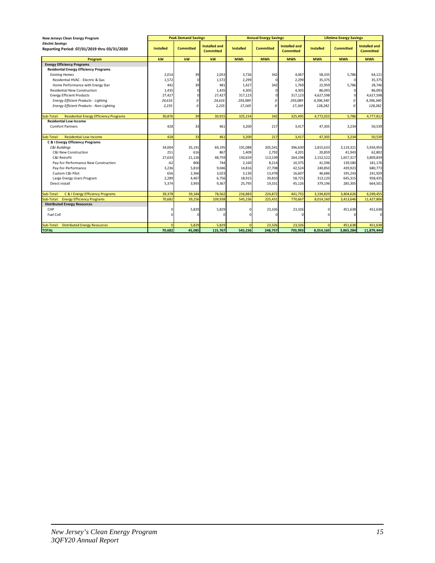| New Jerseys Clean Energy Program                                        |                  | <b>Peak Demand Savings</b> |                                          |                  | <b>Annual Energy Savings</b> |                                          |                  | <b>Lifetime Energy Savings</b> |                                          |  |  |
|-------------------------------------------------------------------------|------------------|----------------------------|------------------------------------------|------------------|------------------------------|------------------------------------------|------------------|--------------------------------|------------------------------------------|--|--|
| <b>Electric Savinas</b><br>Reporting Period: 07/01/2019 thru 03/31/2020 | <b>Installed</b> | <b>Committed</b>           | <b>Installed and</b><br><b>Committed</b> | <b>Installed</b> | <b>Committed</b>             | <b>Installed and</b><br><b>Committed</b> | <b>Installed</b> | <b>Committed</b>               | <b>Installed and</b><br><b>Committed</b> |  |  |
| Program                                                                 | kw               | kW                         | kw                                       | <b>MWh</b>       | <b>MWh</b>                   | <b>MWh</b>                               | <b>MWh</b>       | <b>MWh</b>                     | <b>MWh</b>                               |  |  |
| <b>Energy Efficiency Programs</b>                                       |                  |                            |                                          |                  |                              |                                          |                  |                                |                                          |  |  |
| <b>Residential Energy Efficiency Programs</b>                           |                  |                            |                                          |                  |                              |                                          |                  |                                |                                          |  |  |
| <b>Existing Homes</b>                                                   | 2,014            | 39                         | 2,053                                    | 3,726            | 342                          | 4,067                                    | 58,335           | 5,786                          | 64,121                                   |  |  |
| Residential HVAC - Electric & Gas                                       | 1,572            | $\Omega$                   | 1,572                                    | 2,299            |                              | 2,299                                    | 35,375           | n                              | 35,375                                   |  |  |
| Home Performance with Energy Star                                       | 442              | 39                         | 481                                      | 1,427            | 342                          | 1,769                                    | 22,959           | 5,786                          | 28,746                                   |  |  |
| <b>Residential New Construction</b>                                     | 1,435            |                            | 1,435                                    | 4,305            |                              | 4,305                                    | 86,093           | $\Omega$                       | 86,093                                   |  |  |
| <b>Energy Efficient Products</b>                                        | 27,427           |                            | 27,427                                   | 317,123          |                              | 317,123                                  | 4,627,598        | 0                              | 4,627,598                                |  |  |
| Energy Efficient Products - Lighting                                    | 24,616           | Ω                          | 24,616                                   | 293,089          | 0                            | 293,089                                  | 4,396,340        | 0                              | 4,396,340                                |  |  |
| Energy Efficient Products - Non-Lighting                                | 2,235            | 0                          | 2,235                                    | 17,169           | $\mathfrak{o}$               | 17,169                                   | 128,282          | $\Omega$                       | 128,282                                  |  |  |
|                                                                         |                  |                            |                                          |                  |                              |                                          |                  |                                |                                          |  |  |
| <b>Residential Energy Efficiency Programs</b><br>Sub-Total:             | 30,876           | 39                         | 30,915                                   | 325,154          | 342                          | 325,495                                  | 4,772,025        | 5,786                          | 4,777,812                                |  |  |
| <b>Residential Low Income</b>                                           |                  |                            |                                          |                  |                              |                                          |                  |                                |                                          |  |  |
| <b>Comfort Partners</b>                                                 | 428              | 33                         | 461                                      | 3,200            | 217                          | 3,417                                    | 47,305           | 3,234                          | 50,539                                   |  |  |
|                                                                         |                  |                            |                                          |                  |                              |                                          |                  |                                |                                          |  |  |
| <b>Residential Low Income</b><br>Sub-Total:                             | 428              | 33                         | 461                                      | 3,200            | 217                          | 3,417                                    | 47,305           | 3,234                          | 50,539                                   |  |  |
| C & I Energy Efficiency Programs                                        |                  |                            |                                          |                  |                              |                                          |                  |                                |                                          |  |  |
| <b>C&amp;I Buildings</b>                                                | 34,004           | 35,191                     | 69,195                                   | 191,088          | 205,541                      | 396,630                                  | 2,815,633        | 3,119,321                      | 5,934,954                                |  |  |
| C&I New Construction                                                    | 251              | 616                        | 867                                      | 1,409            | 2,792                        | 4,201                                    | 20,859           | 41,943                         | 62,802                                   |  |  |
| C&I Retrofit                                                            | 27,633           | 21,126                     | 48,759                                   | 150,659          | 113,539                      | 264,198                                  | 2,152,522        | 1,657,317                      | 3,809,839                                |  |  |
| Pay-for-Performance New Construction                                    | $-62$            | 806                        | 744                                      | 2,160            | 8,214                        | 10,375                                   | 41,596           | 139,580                        | 181,176                                  |  |  |
| Pay-for-Performance                                                     | 3,236            | 5,810                      | 9,046                                    | 14,816           | 27,708                       | 42,524                                   | 240,850          | 439,923                        | 680,773                                  |  |  |
| Custom C&I Pilot                                                        | 656              | 2,366                      | 3,023                                    | 3,130            | 13,478                       | 16,607                                   | 46,686           | 195,243                        | 241,929                                  |  |  |
| Large Energy Users Program                                              | 2,289            | 4,467                      | 6,756                                    | 18,915           | 39,810                       | 58,725                                   | 313,120          | 645,315                        | 958,435                                  |  |  |
| Direct Install                                                          | 5,374            | 3,993                      | 9,367                                    | 25,795           | 19,331                       | 45,126                                   | 379,196          | 285,305                        | 664,501                                  |  |  |
|                                                                         |                  |                            |                                          |                  |                              |                                          |                  |                                |                                          |  |  |
| C & I Energy Efficiency Programs<br>Sub-Total:                          | 39,378           | 39,184                     | 78,562                                   | 216,883          | 224,872                      | 441,755                                  | 3,194,829        | 3,404,626                      | 6,599,455                                |  |  |
| <b>Energy Efficiency Programs</b><br>Sub-Total:                         | 70,682           | 39,256                     | 109,938                                  | 545,236          | 225,431                      | 770,667                                  | 8,014,160        | 3,413,646                      | 11,427,806                               |  |  |
| <b>Distributed Energy Resources</b>                                     |                  |                            |                                          |                  |                              |                                          |                  |                                |                                          |  |  |
| CHP                                                                     | O                | 5,829                      | 5,829                                    |                  | 23,326                       | 23,326                                   |                  | 451,638                        | 451,638                                  |  |  |
| Fuel Cell                                                               | $\Omega$         | n                          | $\Omega$                                 |                  | n                            | r                                        |                  | $\Omega$                       | 0                                        |  |  |
|                                                                         |                  |                            |                                          |                  |                              |                                          |                  |                                |                                          |  |  |
| <b>Distributed Energy Resources</b><br>Sub-Total:                       | $\Omega$         | 5,829                      | 5,829                                    |                  | 23,326                       | 23,326                                   |                  | 451,638                        | 451,638                                  |  |  |
| <b>TOTAL</b>                                                            | 70,682           | 45,085                     | 115,767                                  | 545,236          | 248,757                      | 793,993                                  | 8,014,160        | 3,865,284                      | 11,879,444                               |  |  |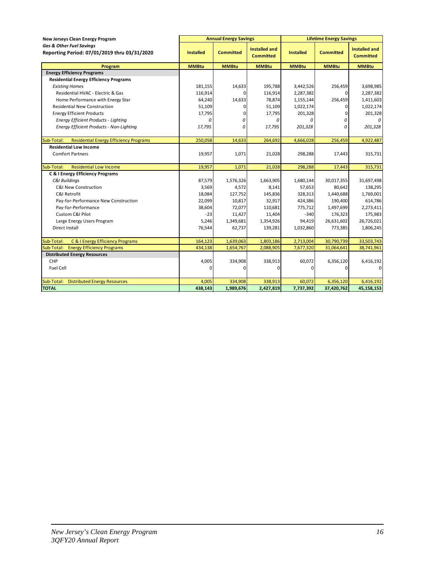| New Jerseys Clean Energy Program                                                    | <b>Annual Energy Savings</b> |                  |                                          |                  | <b>Lifetime Energy Savings</b> |                                   |
|-------------------------------------------------------------------------------------|------------------------------|------------------|------------------------------------------|------------------|--------------------------------|-----------------------------------|
| <b>Gas &amp; Other Fuel Savings</b><br>Reporting Period: 07/01/2019 thru 03/31/2020 | <b>Installed</b>             | <b>Committed</b> | <b>Installed and</b><br><b>Committed</b> | <b>Installed</b> | <b>Committed</b>               | Installed and<br><b>Committed</b> |
| Program                                                                             | <b>MMBtu</b>                 | <b>MMBtu</b>     | <b>MMBtu</b>                             | <b>MMBtu</b>     | <b>MMBtu</b>                   | <b>MMBtu</b>                      |
| <b>Energy Efficiency Programs</b>                                                   |                              |                  |                                          |                  |                                |                                   |
| <b>Residential Energy Efficiency Programs</b>                                       |                              |                  |                                          |                  |                                |                                   |
| <b>Existing Homes</b>                                                               | 181,155                      | 14,633           | 195,788                                  | 3,442,526        | 256,459                        | 3,698,985                         |
| Residential HVAC - Electric & Gas                                                   | 116,914                      | <sup>0</sup>     | 116,914                                  | 2,287,382        | $\Omega$                       | 2,287,382                         |
| Home Performance with Energy Star                                                   | 64,240                       | 14,633           | 78,874                                   | 1,155,144        | 256,459                        | 1,411,603                         |
| <b>Residential New Construction</b>                                                 | 51,109                       | 0                | 51,109                                   | 1,022,174        | 01                             | 1,022,174                         |
| <b>Energy Efficient Products</b>                                                    | 17,795                       | 0                | 17,795                                   | 201,328          | $\mathbf{0}$                   | 201,328                           |
| <b>Energy Efficient Products - Lighting</b>                                         | 0                            | 0                | 0                                        | 0                | 0                              | $\Omega$                          |
| Energy Efficient Products - Non-Lighting                                            | 17,795                       | 0                | 17,795                                   | 201,328          | $\Omega$                       | 201,328                           |
|                                                                                     |                              |                  |                                          |                  |                                |                                   |
| Sub-Total:<br><b>Residential Energy Efficiency Programs</b>                         | 250,058                      | 14,633           | 264,692                                  | 4,666,028        | 256,459                        | 4,922,487                         |
| <b>Residential Low Income</b>                                                       |                              |                  |                                          |                  |                                |                                   |
| <b>Comfort Partners</b>                                                             | 19,957                       | 1,071            | 21,028                                   | 298,288          | 17,443                         | 315,731                           |
|                                                                                     |                              |                  |                                          |                  |                                |                                   |
| <b>Residential Low Income</b><br>Sub-Total:                                         | 19,957                       | 1,071            | 21,028                                   | 298,288          | 17,443                         | 315,731                           |
| C & I Energy Efficiency Programs                                                    |                              |                  |                                          |                  |                                |                                   |
| C&I Buildings                                                                       | 87,579                       | 1,576,326        | 1,663,905                                | 1,680,144        | 30,017,355                     | 31,697,498                        |
| <b>C&amp;I New Construction</b>                                                     | 3,569                        | 4,572            | 8,141                                    | 57,653           | 80,642                         | 138,295                           |
| C&I Retrofit                                                                        | 18,084                       | 127,752          | 145,836                                  | 328,313          | 1,440,688                      | 1,769,001                         |
| Pay-for-Performance New Construction                                                | 22,099                       | 10,817           | 32,917                                   | 424,386          | 190,400                        | 614,786                           |
| Pay-for-Performance                                                                 | 38,604                       | 72,077           | 110,681                                  | 775,712          | 1,497,699                      | 2,273,411                         |
| Custom C&I Pilot                                                                    | $-23$                        | 11,427           | 11,404                                   | $-340$           | 176,323                        | 175,983                           |
| Large Energy Users Program                                                          | 5,246                        | 1,349,681        | 1,354,926                                | 94,419           | 26,631,602                     | 26,726,021                        |
| Direct Install                                                                      | 76,544                       | 62,737           | 139,281                                  | 1,032,860        | 773,385                        | 1,806,245                         |
|                                                                                     |                              |                  |                                          |                  |                                |                                   |
| Sub-Total:<br>C & I Energy Efficiency Programs                                      | 164,123                      | 1,639,063        | 1,803,186                                | 2,713,004        | 30,790,739                     | 33,503,743                        |
| <b>Energy Efficiency Programs</b><br>Sub-Total:                                     | 434,138                      | 1,654,767        | 2,088,905                                | 7,677,320        | 31,064,641                     | 38,741,961                        |
| <b>Distributed Energy Resources</b>                                                 |                              |                  |                                          |                  |                                |                                   |
| CHP                                                                                 | 4,005                        | 334,908          | 338,913                                  | 60,072           | 6,356,120                      | 6,416,192                         |
| <b>Fuel Cell</b>                                                                    | $\Omega$                     | $\Omega$         | 0                                        | 0                | $\Omega$                       | $\Omega$                          |
|                                                                                     |                              |                  |                                          |                  |                                |                                   |
| <b>Distributed Energy Resources</b><br>Sub-Total:                                   | 4,005                        | 334,908          | 338,913                                  | 60,072           | 6,356,120                      | 6,416,192                         |
| <b>TOTAL</b>                                                                        | 438.143                      | 1,989,676        | 2,427,819                                | 7,737,392        | 37.420.762                     | 45,158,153                        |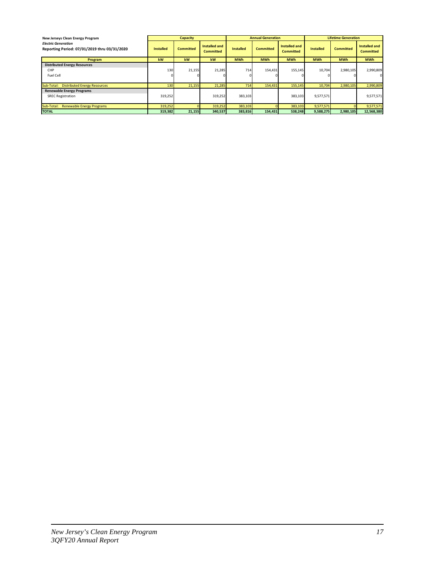| New Jerseys Clean Energy Program                                           |                       | <b>Capacity</b>  |                                   |                  | <b>Annual Generation</b> |                                   |                  | <b>Lifetime Generation</b> |                                          |
|----------------------------------------------------------------------------|-----------------------|------------------|-----------------------------------|------------------|--------------------------|-----------------------------------|------------------|----------------------------|------------------------------------------|
| <b>Electric Generation</b><br>Reporting Period: 07/01/2019 thru 03/31/2020 | <b>Installed</b>      | <b>Committed</b> | Installed and<br><b>Committed</b> | <b>Installed</b> | <b>Committed</b>         | Installed and<br><b>Committed</b> | <b>Installed</b> | <b>Committed</b>           | <b>Installed and</b><br><b>Committed</b> |
| Program                                                                    | kW                    | kW               | kW                                | <b>MWh</b>       | <b>MWh</b>               | <b>MWh</b>                        | <b>MWh</b>       | <b>MWh</b>                 | <b>MWh</b>                               |
| <b>Distributed Energy Resources</b><br>CHP<br>Fuel Cell                    | 130<br>0 <sub>i</sub> | 21,155           | 21,285                            | 714              | 154,431                  | 155,145                           | 10,704           | 2,980,105                  | 2,990,809<br>$\Omega$                    |
| Sub-Total: Distributed Energy Resources                                    | 130                   | 21,155           | 21,285                            | 714              | 154,431                  | 155,145                           | 10,704           | 2,980,105                  | 2,990,809                                |
| <b>Renewable Energy Programs</b><br><b>SREC Registration</b>               | 319,252               |                  | 319,252                           | 383,103          |                          | 383,103                           | 9,577,571        |                            | 9,577,571                                |
| Sub-Total:<br><b>Renewable Energy Programs</b>                             | 319,252               |                  | 319,252                           | 383,103          |                          | 383,103                           | 9,577,571        |                            | 9,577,571                                |
| <b>TOTAL</b>                                                               | 319,382               | 21,155           | 340,537                           | 383.816          | 154.431                  | 538,248                           | 9,588,275        | 2,980,105                  | 12,568,380                               |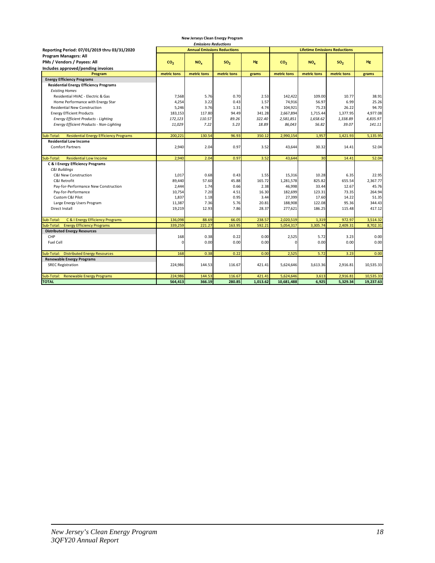| <b>Emissions Reductions</b>                                 |                 |                                    |                 |           |                 |                                      |                 |           |
|-------------------------------------------------------------|-----------------|------------------------------------|-----------------|-----------|-----------------|--------------------------------------|-----------------|-----------|
| Reporting Period: 07/01/2019 thru 03/31/2020                |                 | <b>Annual Emissions Reductions</b> |                 |           |                 | <b>Lifetime Emissions Reductions</b> |                 |           |
| <b>Program Managers: All</b>                                |                 |                                    |                 |           |                 |                                      |                 |           |
| PMs / Vendors / Payees: All                                 | CO <sub>2</sub> | NO <sub>x</sub>                    | SO <sub>2</sub> | <b>Hg</b> | CO <sub>2</sub> | NO <sub>x</sub>                      | SO <sub>2</sub> | <b>Hg</b> |
| Includes approved/pending invoices                          |                 |                                    |                 |           |                 |                                      |                 |           |
| Program                                                     | metric tons     | metric tons                        | metric tons     | grams     | metric tons     | metric tons                          | metric tons     | grams     |
| <b>Energy Efficiency Programs</b>                           |                 |                                    |                 |           |                 |                                      |                 |           |
| <b>Residential Energy Efficiency Programs</b>               |                 |                                    |                 |           |                 |                                      |                 |           |
| <b>Existing Homes</b>                                       |                 |                                    |                 |           |                 |                                      |                 |           |
| Residential HVAC - Electric & Gas                           | 7,568           | 5.76                               | 0.70            | 2.53      | 142,422         | 109.00                               | 10.77           | 38.91     |
| Home Performance with Energy Star                           | 4,254           | 3.22                               | 0.43            | 1.57      | 74,916          | 56.97                                | 6.99            | 25.26     |
| <b>Residential New Construction</b>                         | 5,246           | 3.76                               | 1.31            | 4.74      | 104,921         | 75.23                                | 26.22           | 94.70     |
| <b>Energy Efficient Products</b>                            | 183,153         | 117.80                             | 94.49           | 341.28    | 2,667,894       | 1,715.44                             | 1,377.95        | 4,977.08  |
| Energy Efficient Products - Lighting                        | 172,123         | 110.57                             | 89.26           | 322.40    | 2,581,851       | 1,658.62                             | 1,338.89        | 4,835.97  |
| Energy Efficient Products - Non-Lighting                    | 11,029          | 7.22                               | 5.23            | 18.89     | 86,043          | 56.82                                | 39.07           | 141.11    |
|                                                             |                 |                                    |                 |           |                 |                                      |                 |           |
| <b>Residential Energy Efficiency Programs</b><br>Sub-Total: | 200,221         | 130.54                             | 96.93           | 350.12    | 2,990,154       | 1,957                                | 1,421.93        | 5,135.95  |
| <b>Residential Low Income</b>                               |                 |                                    |                 |           |                 |                                      |                 |           |
| <b>Comfort Partners</b>                                     | 2,940           | 2.04                               | 0.97            | 3.52      | 43,644          | 30.32                                | 14.41           | 52.04     |
|                                                             |                 |                                    |                 |           |                 |                                      |                 |           |
| Sub-Total:<br><b>Residential Low Income</b>                 | 2,940           | 2.04                               | 0.97            | 3.52      | 43,644          | 30                                   | 14.41           | 52.04     |
| C & I Energy Efficiency Programs                            |                 |                                    |                 |           |                 |                                      |                 |           |
| <b>C&amp;I Buildings</b>                                    |                 |                                    |                 |           |                 |                                      |                 |           |
| C&I New Construction                                        | 1,017           | 0.68                               | 0.43            | 1.55      | 15,316          | 10.28                                | 6.35            | 22.95     |
| C&I Retrofit                                                | 89,440          | 57.60                              | 45.88           | 165.72    | 1,281,578       | 825.82                               | 655.54          | 2,367.77  |
| Pay-for-Performance New Construction                        | 2,444           | 1.74                               | 0.66            | 2.38      | 46,998          | 33.44                                | 12.67           | 45.76     |
| Pay-for-Performance                                         | 10,754          | 7.20                               | 4.51            | 16.30     | 182,699         | 123.31                               | 73.35           | 264.94    |
| Custom C&I Pilot                                            | 1,837           | 1.18                               | 0.95            | 3.44      | 27,399          | 17.60                                | 14.22           | 51.35     |
| Large Energy Users Program                                  | 11,387          | 7.36                               | 5.76            | 20.81     | 188,908         | 122.08                               | 95.36           | 344.43    |
| <b>Direct Install</b>                                       | 19,219          | 12.93                              | 7.86            | 28.37     | 277,621         | 186.25                               | 115.48          | 417.12    |
|                                                             |                 |                                    |                 |           |                 |                                      |                 |           |
| C & I Energy Efficiency Programs<br>Sub-Total:              | 136,098         | 88.69                              | 66.05           | 238.57    | 2,020,519       | 1,319                                | 972.97          | 3,514.32  |
| <b>Energy Efficiency Programs</b><br>Sub-Total:             | 339,259         | 221.27                             | 163.95          | 592.21    | 5,054,317       | 3,305.74                             | 2,409.31        | 8,702.31  |
| <b>Distributed Energy Resources</b>                         |                 |                                    |                 |           |                 |                                      |                 |           |
| CHP                                                         | 168             | 0.38                               | 0.22            | 0.00      | 2,525           | 5.72                                 | 3.23            | 0.00      |
| Fuel Cell                                                   | $\Omega$        | 0.00                               | 0.00            | 0.00      | $\Omega$        | 0.00                                 | 0.00            | 0.00      |
|                                                             |                 |                                    |                 |           |                 |                                      |                 |           |
| Sub-Total: Distributed Energy Resources                     | 168             | 0.38                               | 0.22            | 0.00      | 2,525           | 5.72                                 | 3.23            | 0.00      |
| <b>Renewable Energy Programs</b>                            |                 |                                    |                 |           |                 |                                      |                 |           |
| <b>SREC Registration</b>                                    | 224,986         | 144.53                             | 116.67          | 421.41    | 5,624,646       | 3,613.36                             | 2,916.81        | 10,535.33 |
|                                                             |                 |                                    |                 |           |                 |                                      |                 |           |
| Sub-Total: Renewable Energy Programs                        | 224,986         | 144.53                             | 116.67          | 421.41    | 5,624,646       | 3,613                                | 2,916.81        | 10,535.33 |
| <b>TOTAL</b>                                                | 564,413         | 366.19                             | 280.85          | 1,013.62  | 10,681,488      | 6,925                                | 5,329.34        | 19,237.63 |

**New Jerseys Clean Energy Program**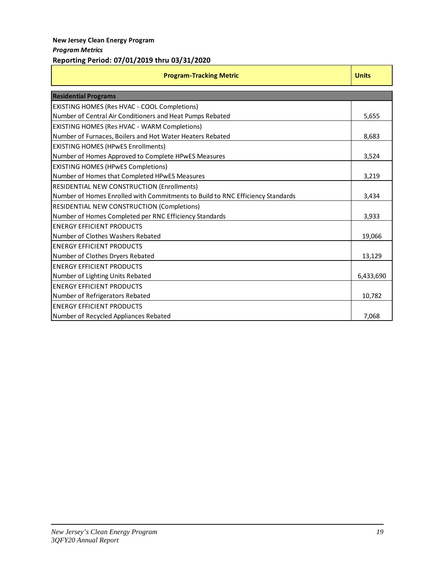### **New Jersey Clean Energy Program** *Program Metrics*

### **Reporting Period: 07/01/2019 thru 03/31/2020**

| <b>Program-Tracking Metric</b>                                                 |           |  |  |
|--------------------------------------------------------------------------------|-----------|--|--|
| <b>Residential Programs</b>                                                    |           |  |  |
| <b>EXISTING HOMES (Res HVAC - COOL Completions)</b>                            |           |  |  |
| Number of Central Air Conditioners and Heat Pumps Rebated                      | 5,655     |  |  |
| EXISTING HOMES (Res HVAC - WARM Completions)                                   |           |  |  |
| Number of Furnaces, Boilers and Hot Water Heaters Rebated                      | 8,683     |  |  |
| <b>EXISTING HOMES (HPwES Enrollments)</b>                                      |           |  |  |
| Number of Homes Approved to Complete HPwES Measures                            | 3,524     |  |  |
| <b>EXISTING HOMES (HPwES Completions)</b>                                      |           |  |  |
| Number of Homes that Completed HPwES Measures                                  | 3,219     |  |  |
| <b>RESIDENTIAL NEW CONSTRUCTION (Enrollments)</b>                              |           |  |  |
| Number of Homes Enrolled with Commitments to Build to RNC Efficiency Standards | 3,434     |  |  |
| <b>RESIDENTIAL NEW CONSTRUCTION (Completions)</b>                              |           |  |  |
| Number of Homes Completed per RNC Efficiency Standards                         |           |  |  |
| <b>ENERGY EFFICIENT PRODUCTS</b>                                               |           |  |  |
| Number of Clothes Washers Rebated                                              | 19,066    |  |  |
| <b>ENERGY EFFICIENT PRODUCTS</b>                                               |           |  |  |
| Number of Clothes Dryers Rebated                                               | 13,129    |  |  |
| <b>ENERGY EFFICIENT PRODUCTS</b>                                               |           |  |  |
| Number of Lighting Units Rebated                                               | 6,433,690 |  |  |
| <b>ENERGY EFFICIENT PRODUCTS</b>                                               |           |  |  |
| Number of Refrigerators Rebated                                                | 10,782    |  |  |
| <b>ENERGY EFFICIENT PRODUCTS</b>                                               |           |  |  |
| Number of Recycled Appliances Rebated                                          | 7,068     |  |  |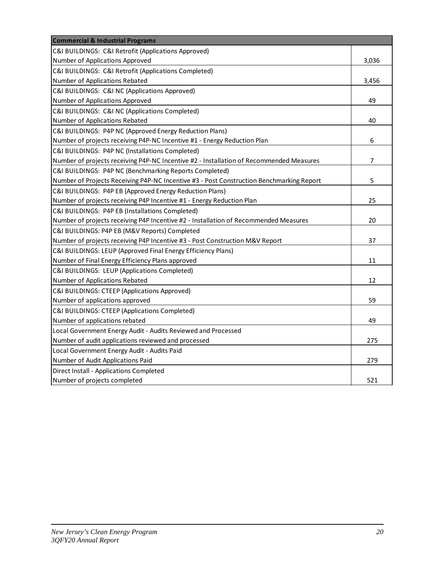| <b>Commercial &amp; Industrial Programs</b>                                              |                |
|------------------------------------------------------------------------------------------|----------------|
| C&I BUILDINGS: C&I Retrofit (Applications Approved)                                      |                |
| Number of Applications Approved                                                          | 3,036          |
| C&I BUILDINGS: C&I Retrofit (Applications Completed)                                     |                |
| Number of Applications Rebated                                                           | 3,456          |
| C&I BUILDINGS: C&I NC (Applications Approved)                                            |                |
| Number of Applications Approved                                                          | 49             |
| C&I BUILDINGS: C&I NC (Applications Completed)                                           |                |
| Number of Applications Rebated                                                           | 40             |
| C&I BUILDINGS: P4P NC (Approved Energy Reduction Plans)                                  |                |
| Number of projects receiving P4P-NC Incentive #1 - Energy Reduction Plan                 | 6              |
| C&I BUILDINGS: P4P NC (Installations Completed)                                          |                |
| Number of projects receiving P4P-NC Incentive #2 - Installation of Recommended Measures  | $\overline{7}$ |
| C&I BUILDINGS: P4P NC (Benchmarking Reports Completed)                                   |                |
| Number of Projects Receiving P4P-NC Incentive #3 - Post Construction Benchmarking Report | 5              |
| C&I BUILDINGS: P4P EB (Approved Energy Reduction Plans)                                  |                |
| Number of projects receiving P4P Incentive #1 - Energy Reduction Plan                    | 25             |
| C&I BUILDINGS: P4P EB (Installations Completed)                                          |                |
| Number of projects receiving P4P Incentive #2 - Installation of Recommended Measures     | 20             |
| C&I BUILDINGS: P4P EB (M&V Reports) Completed                                            |                |
| Number of projects receiving P4P Incentive #3 - Post Construction M&V Report             | 37             |
| C&I BUILDINGS: LEUP (Approved Final Energy Efficiency Plans)                             |                |
| Number of Final Energy Efficiency Plans approved                                         | 11             |
| C&I BUILDINGS: LEUP (Applications Completed)                                             |                |
| Number of Applications Rebated                                                           | 12             |
| C&I BUILDINGS: CTEEP (Applications Approved)                                             |                |
| Number of applications approved                                                          | 59             |
| C&I BUILDINGS: CTEEP (Applications Completed)                                            |                |
| Number of applications rebated                                                           | 49             |
| Local Government Energy Audit - Audits Reviewed and Processed                            |                |
| Number of audit applications reviewed and processed                                      | 275            |
| Local Government Energy Audit - Audits Paid                                              |                |
| Number of Audit Applications Paid                                                        | 279            |
| Direct Install - Applications Completed                                                  |                |
| Number of projects completed                                                             | 521            |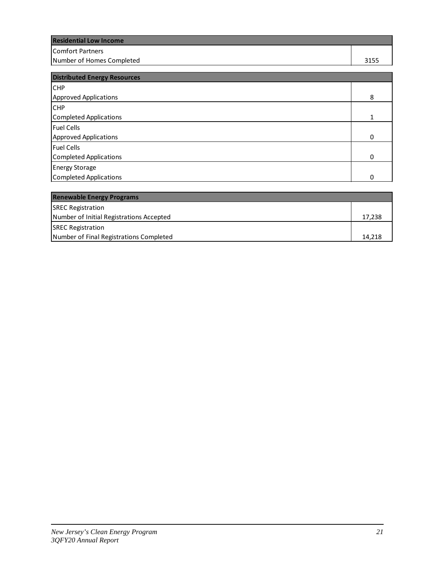| <b>Residential Low Income</b> |      |
|-------------------------------|------|
| lComfort Partners             |      |
| Number of Homes Completed     | 3155 |
|                               |      |

| <b>Distributed Energy Resources</b> |          |
|-------------------------------------|----------|
| <b>CHP</b>                          |          |
| Approved Applications               |          |
| <b>CHP</b>                          |          |
| Completed Applications              |          |
| <b>Fuel Cells</b>                   |          |
| Approved Applications               |          |
| <b>Fuel Cells</b>                   |          |
| Completed Applications              | $\Omega$ |
| <b>Energy Storage</b>               |          |
| Completed Applications              | 0        |

| <b>Renewable Energy Programs</b>         |        |
|------------------------------------------|--------|
| <b>SREC Registration</b>                 |        |
| Number of Initial Registrations Accepted | 17.238 |
| <b>SREC Registration</b>                 |        |
| Number of Final Registrations Completed  | 14.218 |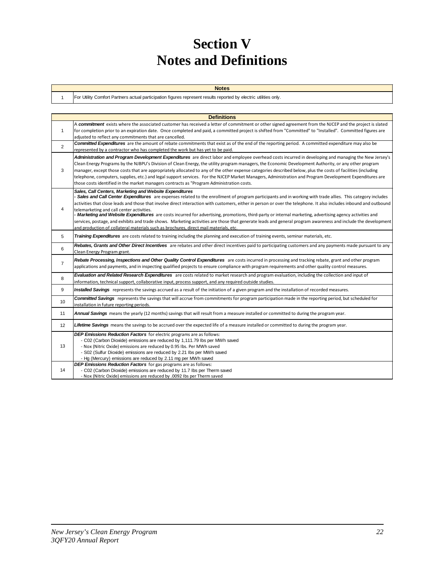# **Section V Notes and Definitions**

| . Utility Comfort Partners actual participation figures represent results reported by electric utilities only,<br>'For |
|------------------------------------------------------------------------------------------------------------------------|
|                                                                                                                        |

|                | <b>Definitions</b>                                                                                                                                                                                                                                                                                                                                                                                                                                                                                                                                                                                                                                                                                                                                                                                                                                                 |
|----------------|--------------------------------------------------------------------------------------------------------------------------------------------------------------------------------------------------------------------------------------------------------------------------------------------------------------------------------------------------------------------------------------------------------------------------------------------------------------------------------------------------------------------------------------------------------------------------------------------------------------------------------------------------------------------------------------------------------------------------------------------------------------------------------------------------------------------------------------------------------------------|
| $\mathbf{1}$   | A commitment exists where the associated customer has received a letter of commitment or other signed agreement from the NJCEP and the project is slated<br>for completion prior to an expiration date. Once completed and paid, a committed project is shifted from "Committed" to "Installed". Committed figures are<br>adjusted to reflect any commitments that are cancelled.                                                                                                                                                                                                                                                                                                                                                                                                                                                                                  |
| $\overline{2}$ | <b>Committed Expenditures</b> are the amount of rebate commitments that exist as of the end of the reporting period. A committed expenditure may also be<br>represented by a contractor who has completed the work but has yet to be paid.                                                                                                                                                                                                                                                                                                                                                                                                                                                                                                                                                                                                                         |
| 3              | Administration and Program Development Expenditures are direct labor and employee overhead costs incurred in developing and managing the New Jersey's<br>Clean Energy Programs by the NJBPU's Division of Clean Energy, the utility program managers, the Economic Development Authority, or any other program<br>manager, except those costs that are appropriately allocated to any of the other expense categories described below, plus the costs of facilities (including<br>telephone, computers, supplies, etc.) and legal support services. For the NJCEP Market Managers, Administration and Program Development Expenditures are<br>those costs identified in the market managers contracts as "Program Administration costs.                                                                                                                            |
| 4              | Sales, Call Centers, Marketing and Website Expenditures<br>- Sales and Call Center Expenditures are expenses related to the enrollment of program participants and in working with trade allies. This category includes<br>activities that close leads and those that involve direct interaction with customers, either in person or over the telephone. It also includes inbound and outbound<br>telemarketing and call center activities.<br>- Marketing and Website Expenditures are costs incurred for advertising, promotions, third-party or internal marketing, advertising agency activities and<br>services, postage, and exhibits and trade shows. Marketing activities are those that generate leads and general program awareness and include the development<br>and production of collateral materials such as brochures, direct mail materials, etc. |
| 5              | Training Expenditures are costs related to training including the planning and execution of training events, seminar materials, etc.                                                                                                                                                                                                                                                                                                                                                                                                                                                                                                                                                                                                                                                                                                                               |
| 6              | Rebates, Grants and Other Direct Incentives are rebates and other direct incentives paid to participating customers and any payments made pursuant to any<br>Clean Energy Program grant.                                                                                                                                                                                                                                                                                                                                                                                                                                                                                                                                                                                                                                                                           |
| $\overline{7}$ | Rebate Processing, Inspections and Other Quality Control Expenditures are costs incurred in processing and tracking rebate, grant and other program<br>applications and payments, and in inspecting qualified projects to ensure compliance with program requirements and other quality control measures.                                                                                                                                                                                                                                                                                                                                                                                                                                                                                                                                                          |
| 8              | Evaluation and Related Research Expenditures are costs related to market research and program evaluation, including the collection and input of<br>information, technical support, collaborative input, process support, and any required outside studies.                                                                                                                                                                                                                                                                                                                                                                                                                                                                                                                                                                                                         |
| 9              | Installed Savings represents the savings accrued as a result of the initiation of a given program and the installation of recorded measures.                                                                                                                                                                                                                                                                                                                                                                                                                                                                                                                                                                                                                                                                                                                       |
| 10             | <b>Committed Savings</b> represents the savings that will accrue from commitments for program participation made in the reporting period, but scheduled for<br>installation in future reporting periods.                                                                                                                                                                                                                                                                                                                                                                                                                                                                                                                                                                                                                                                           |
| 11             | Annual Savings means the yearly (12 months) savings that will result from a measure installed or committed to during the program year.                                                                                                                                                                                                                                                                                                                                                                                                                                                                                                                                                                                                                                                                                                                             |
| 12             | Lifetime Savings means the savings to be accrued over the expected life of a measure installed or committed to during the program year.                                                                                                                                                                                                                                                                                                                                                                                                                                                                                                                                                                                                                                                                                                                            |
| 13             | DEP Emissions Reduction Factors for electric programs are as follows:<br>- C02 (Carbon Dioxide) emissions are reduced by 1,111.79 lbs per MWh saved<br>- Nox (Nitric Oxide) emissions are reduced by 0.95 lbs. Per MWh saved<br>- S02 (Sulfur Dioxide) emissions are reduced by 2.21 lbs per MWh saved<br>- Hg (Mercury) emissions are reduced by 2.11 mg per MWh saved                                                                                                                                                                                                                                                                                                                                                                                                                                                                                            |
| 14             | <b>DEP Emissions Reduction Factors</b> for gas programs are as follows:<br>- C02 (Carbon Dioxide) emissions are reduced by 11.7 lbs per Therm saved<br>- Nox (Nitric Oxide) emissions are reduced by .0092 Ibs per Therm saved                                                                                                                                                                                                                                                                                                                                                                                                                                                                                                                                                                                                                                     |